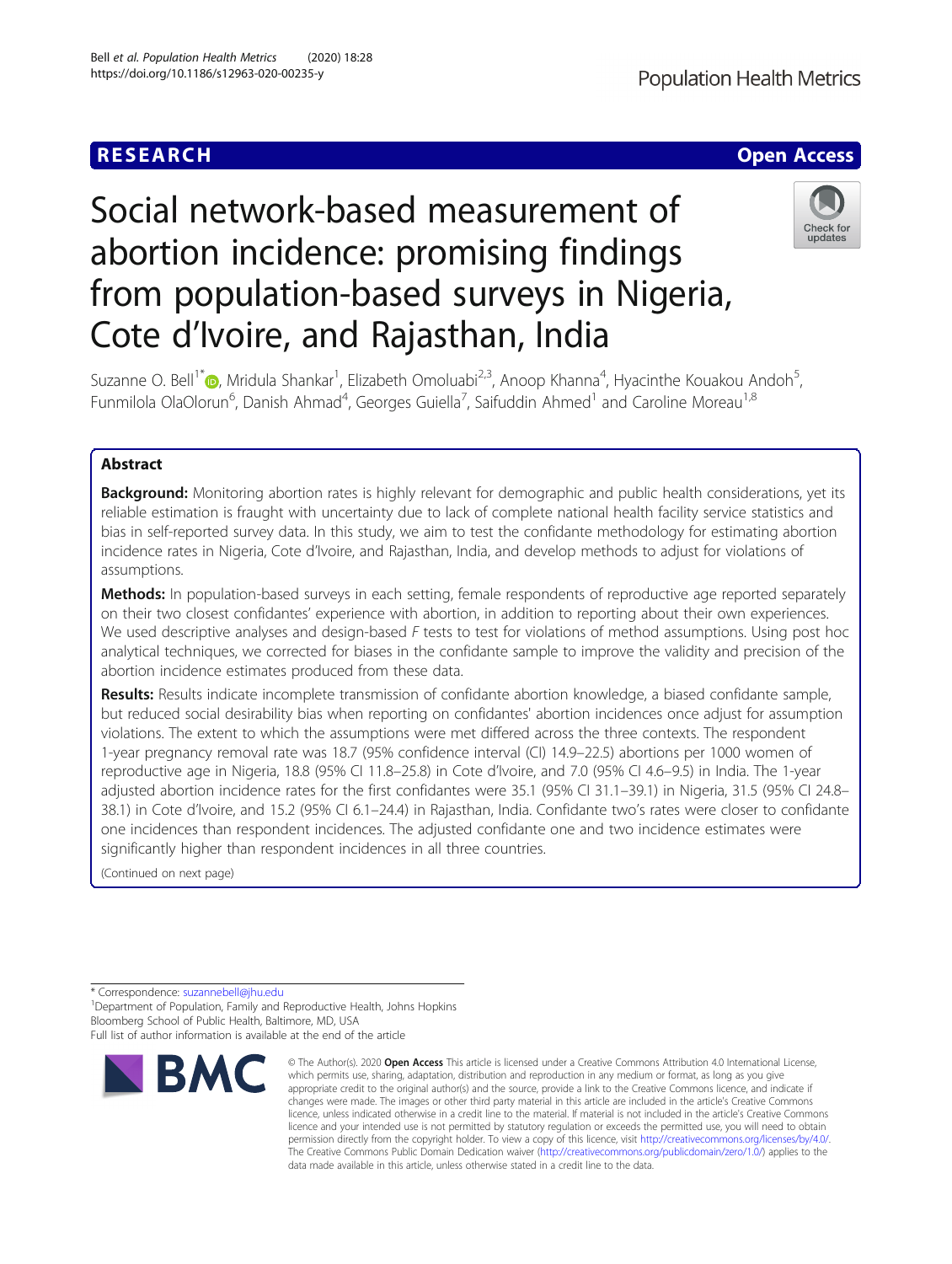# Social network-based measurement of abortion incidence: promising findings from population-based surveys in Nigeria, Cote d'Ivoire, and Rajasthan, India



Suzanne O. Bell<sup>1[\\*](http://orcid.org/0000-0002-7650-5940)</sup> (@, Mridula Shankar<sup>1</sup>, Elizabeth Omoluabi<sup>2,3</sup>, Anoop Khanna<sup>4</sup>, Hyacinthe Kouakou Andoh<sup>5</sup> , Funmilola OlaOlorun<sup>6</sup>, Danish Ahmad<sup>4</sup>, Georges Guiella<sup>7</sup>, Saifuddin Ahmed<sup>1</sup> and Caroline Moreau<sup>1,8</sup>

## Abstract

Background: Monitoring abortion rates is highly relevant for demographic and public health considerations, yet its reliable estimation is fraught with uncertainty due to lack of complete national health facility service statistics and bias in self-reported survey data. In this study, we aim to test the confidante methodology for estimating abortion incidence rates in Nigeria, Cote d'Ivoire, and Rajasthan, India, and develop methods to adjust for violations of assumptions.

Methods: In population-based surveys in each setting, female respondents of reproductive age reported separately on their two closest confidantes' experience with abortion, in addition to reporting about their own experiences. We used descriptive analyses and design-based F tests to test for violations of method assumptions. Using post hoc analytical techniques, we corrected for biases in the confidante sample to improve the validity and precision of the abortion incidence estimates produced from these data.

Results: Results indicate incomplete transmission of confidante abortion knowledge, a biased confidante sample, but reduced social desirability bias when reporting on confidantes' abortion incidences once adjust for assumption violations. The extent to which the assumptions were met differed across the three contexts. The respondent 1-year pregnancy removal rate was 18.7 (95% confidence interval (CI) 14.9–22.5) abortions per 1000 women of reproductive age in Nigeria, 18.8 (95% CI 11.8–25.8) in Cote d'Ivoire, and 7.0 (95% CI 4.6–9.5) in India. The 1-year adjusted abortion incidence rates for the first confidantes were 35.1 (95% CI 31.1–39.1) in Nigeria, 31.5 (95% CI 24.8– 38.1) in Cote d'Ivoire, and 15.2 (95% CI 6.1–24.4) in Rajasthan, India. Confidante two's rates were closer to confidante one incidences than respondent incidences. The adjusted confidante one and two incidence estimates were significantly higher than respondent incidences in all three countries.

(Continued on next page)

\* Correspondence: [suzannebell@jhu.edu](mailto:suzannebell@jhu.edu) <sup>1</sup>

<sup>1</sup> Department of Population, Family and Reproductive Health, Johns Hopkins Bloomberg School of Public Health, Baltimore, MD, USA Full list of author information is available at the end of the article



<sup>©</sup> The Author(s), 2020 **Open Access** This article is licensed under a Creative Commons Attribution 4.0 International License, which permits use, sharing, adaptation, distribution and reproduction in any medium or format, as long as you give appropriate credit to the original author(s) and the source, provide a link to the Creative Commons licence, and indicate if changes were made. The images or other third party material in this article are included in the article's Creative Commons licence, unless indicated otherwise in a credit line to the material. If material is not included in the article's Creative Commons licence and your intended use is not permitted by statutory regulation or exceeds the permitted use, you will need to obtain permission directly from the copyright holder. To view a copy of this licence, visit [http://creativecommons.org/licenses/by/4.0/.](http://creativecommons.org/licenses/by/4.0/) The Creative Commons Public Domain Dedication waiver [\(http://creativecommons.org/publicdomain/zero/1.0/](http://creativecommons.org/publicdomain/zero/1.0/)) applies to the data made available in this article, unless otherwise stated in a credit line to the data.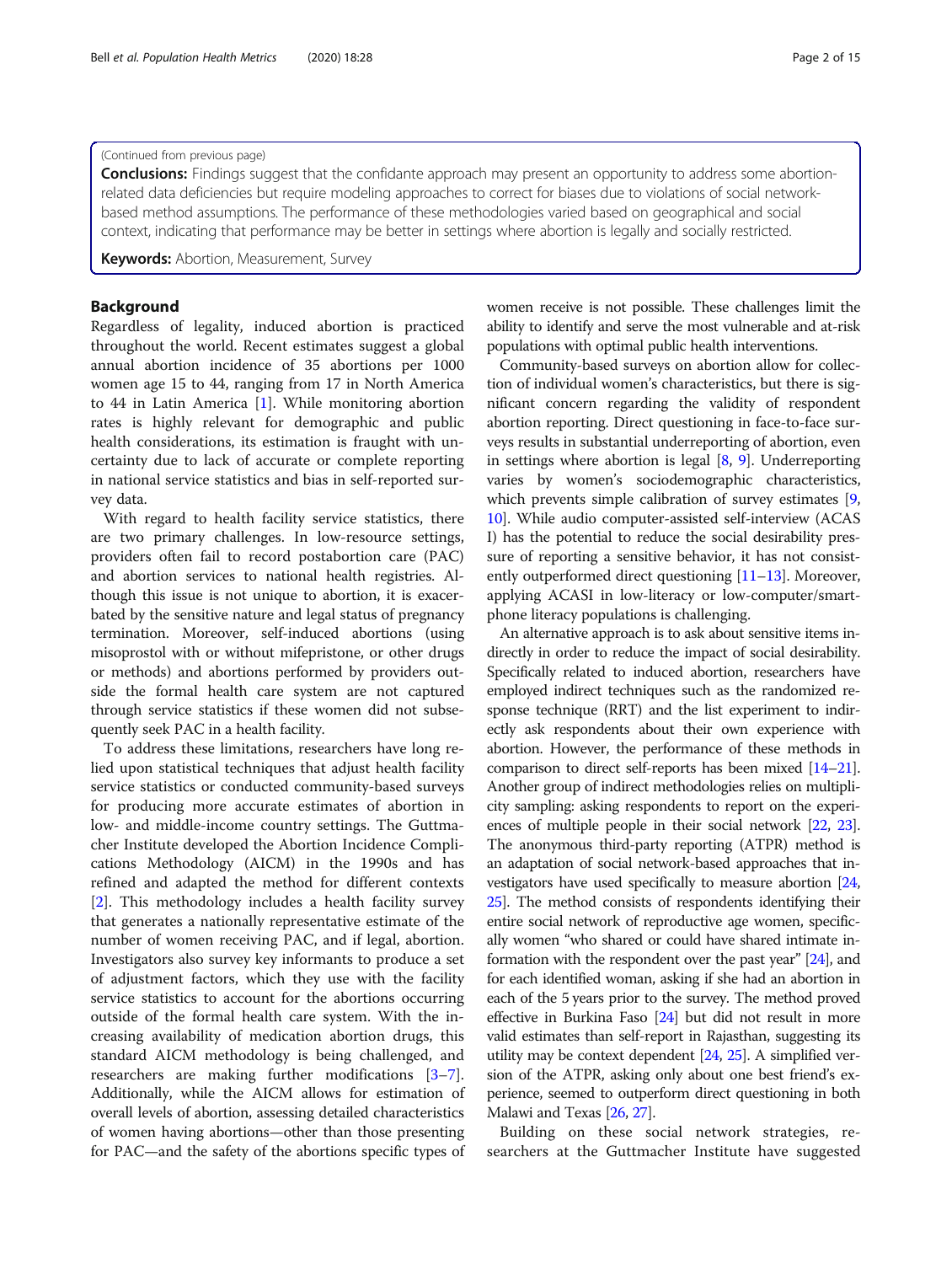## (Continued from previous page)

Conclusions: Findings suggest that the confidante approach may present an opportunity to address some abortionrelated data deficiencies but require modeling approaches to correct for biases due to violations of social networkbased method assumptions. The performance of these methodologies varied based on geographical and social context, indicating that performance may be better in settings where abortion is legally and socially restricted.

**Keywords: Abortion, Measurement, Survey** 

## Background

Regardless of legality, induced abortion is practiced throughout the world. Recent estimates suggest a global annual abortion incidence of 35 abortions per 1000 women age 15 to 44, ranging from 17 in North America to 44 in Latin America [[1](#page-13-0)]. While monitoring abortion rates is highly relevant for demographic and public health considerations, its estimation is fraught with uncertainty due to lack of accurate or complete reporting in national service statistics and bias in self-reported survey data.

With regard to health facility service statistics, there are two primary challenges. In low-resource settings, providers often fail to record postabortion care (PAC) and abortion services to national health registries. Although this issue is not unique to abortion, it is exacerbated by the sensitive nature and legal status of pregnancy termination. Moreover, self-induced abortions (using misoprostol with or without mifepristone, or other drugs or methods) and abortions performed by providers outside the formal health care system are not captured through service statistics if these women did not subsequently seek PAC in a health facility.

To address these limitations, researchers have long relied upon statistical techniques that adjust health facility service statistics or conducted community-based surveys for producing more accurate estimates of abortion in low- and middle-income country settings. The Guttmacher Institute developed the Abortion Incidence Complications Methodology (AICM) in the 1990s and has refined and adapted the method for different contexts [[2\]](#page-13-0). This methodology includes a health facility survey that generates a nationally representative estimate of the number of women receiving PAC, and if legal, abortion. Investigators also survey key informants to produce a set of adjustment factors, which they use with the facility service statistics to account for the abortions occurring outside of the formal health care system. With the increasing availability of medication abortion drugs, this standard AICM methodology is being challenged, and researchers are making further modifications [\[3](#page-13-0)–[7](#page-13-0)]. Additionally, while the AICM allows for estimation of overall levels of abortion, assessing detailed characteristics of women having abortions—other than those presenting for PAC—and the safety of the abortions specific types of women receive is not possible. These challenges limit the ability to identify and serve the most vulnerable and at-risk populations with optimal public health interventions.

Community-based surveys on abortion allow for collection of individual women's characteristics, but there is significant concern regarding the validity of respondent abortion reporting. Direct questioning in face-to-face surveys results in substantial underreporting of abortion, even in settings where abortion is legal [\[8](#page-13-0), [9\]](#page-13-0). Underreporting varies by women's sociodemographic characteristics, which prevents simple calibration of survey estimates [[9](#page-13-0), [10](#page-13-0)]. While audio computer-assisted self-interview (ACAS I) has the potential to reduce the social desirability pressure of reporting a sensitive behavior, it has not consistently outperformed direct questioning [\[11](#page-13-0)–[13](#page-13-0)]. Moreover, applying ACASI in low-literacy or low-computer/smartphone literacy populations is challenging.

An alternative approach is to ask about sensitive items indirectly in order to reduce the impact of social desirability. Specifically related to induced abortion, researchers have employed indirect techniques such as the randomized response technique (RRT) and the list experiment to indirectly ask respondents about their own experience with abortion. However, the performance of these methods in comparison to direct self-reports has been mixed [[14](#page-13-0)–[21](#page-13-0)]. Another group of indirect methodologies relies on multiplicity sampling: asking respondents to report on the experiences of multiple people in their social network [\[22,](#page-13-0) [23](#page-13-0)]. The anonymous third-party reporting (ATPR) method is an adaptation of social network-based approaches that investigators have used specifically to measure abortion [\[24](#page-13-0), [25](#page-13-0)]. The method consists of respondents identifying their entire social network of reproductive age women, specifically women "who shared or could have shared intimate information with the respondent over the past year" [[24](#page-13-0)], and for each identified woman, asking if she had an abortion in each of the 5 years prior to the survey. The method proved effective in Burkina Faso [\[24\]](#page-13-0) but did not result in more valid estimates than self-report in Rajasthan, suggesting its utility may be context dependent [[24](#page-13-0), [25](#page-13-0)]. A simplified version of the ATPR, asking only about one best friend's experience, seemed to outperform direct questioning in both Malawi and Texas [[26](#page-13-0), [27](#page-13-0)].

Building on these social network strategies, researchers at the Guttmacher Institute have suggested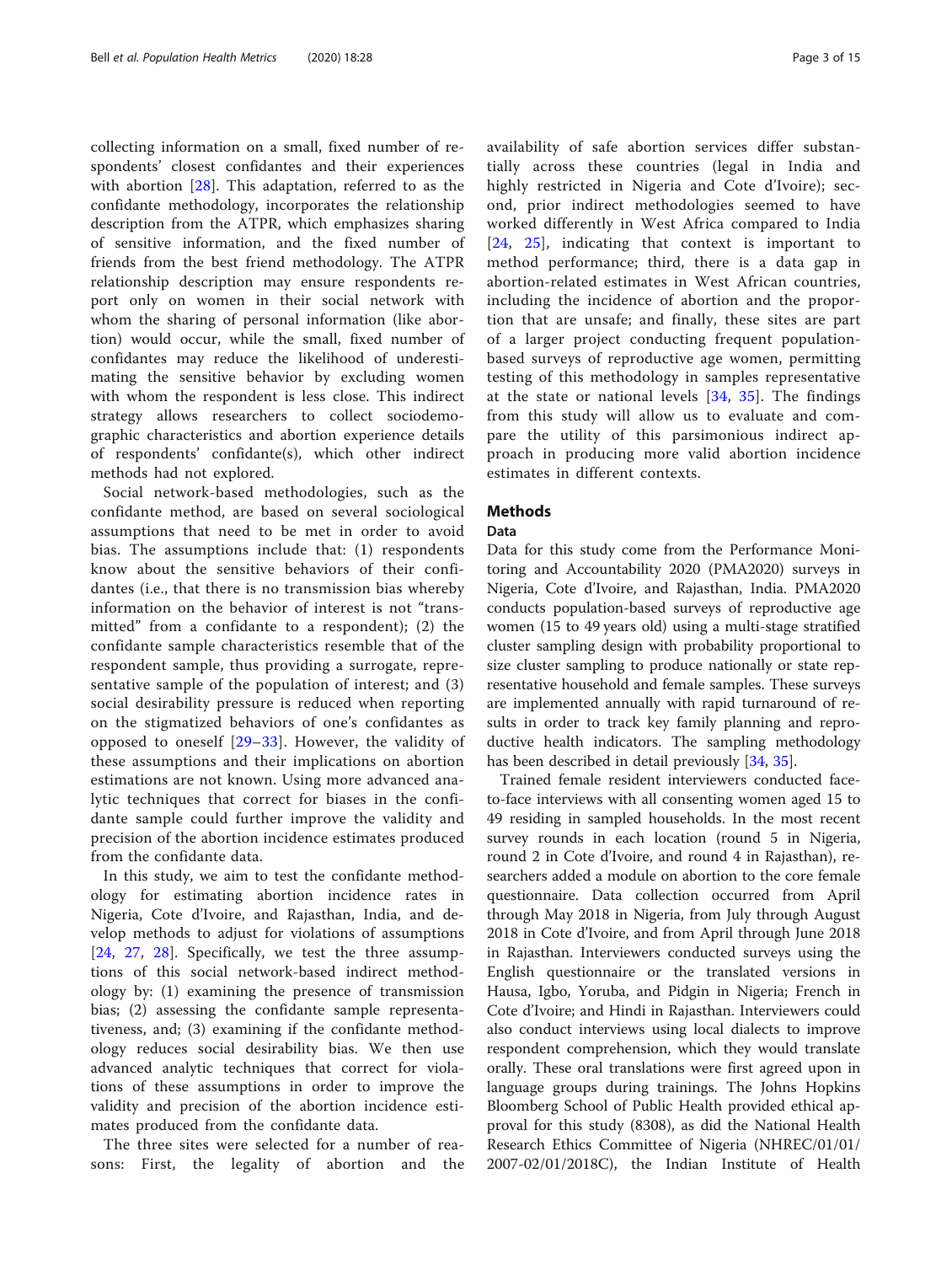collecting information on a small, fixed number of respondents' closest confidantes and their experiences with abortion [[28\]](#page-13-0). This adaptation, referred to as the confidante methodology, incorporates the relationship description from the ATPR, which emphasizes sharing of sensitive information, and the fixed number of friends from the best friend methodology. The ATPR relationship description may ensure respondents report only on women in their social network with whom the sharing of personal information (like abortion) would occur, while the small, fixed number of confidantes may reduce the likelihood of underestimating the sensitive behavior by excluding women with whom the respondent is less close. This indirect strategy allows researchers to collect sociodemographic characteristics and abortion experience details of respondents' confidante(s), which other indirect methods had not explored.

Social network-based methodologies, such as the confidante method, are based on several sociological assumptions that need to be met in order to avoid bias. The assumptions include that: (1) respondents know about the sensitive behaviors of their confidantes (i.e., that there is no transmission bias whereby information on the behavior of interest is not "transmitted" from a confidante to a respondent); (2) the confidante sample characteristics resemble that of the respondent sample, thus providing a surrogate, representative sample of the population of interest; and (3) social desirability pressure is reduced when reporting on the stigmatized behaviors of one's confidantes as opposed to oneself [[29](#page-13-0)–[33](#page-14-0)]. However, the validity of these assumptions and their implications on abortion estimations are not known. Using more advanced analytic techniques that correct for biases in the confidante sample could further improve the validity and precision of the abortion incidence estimates produced from the confidante data.

In this study, we aim to test the confidante methodology for estimating abortion incidence rates in Nigeria, Cote d'Ivoire, and Rajasthan, India, and develop methods to adjust for violations of assumptions [[24,](#page-13-0) [27,](#page-13-0) [28](#page-13-0)]. Specifically, we test the three assumptions of this social network-based indirect methodology by: (1) examining the presence of transmission bias; (2) assessing the confidante sample representativeness, and; (3) examining if the confidante methodology reduces social desirability bias. We then use advanced analytic techniques that correct for violations of these assumptions in order to improve the validity and precision of the abortion incidence estimates produced from the confidante data.

The three sites were selected for a number of reasons: First, the legality of abortion and the availability of safe abortion services differ substantially across these countries (legal in India and highly restricted in Nigeria and Cote d'Ivoire); second, prior indirect methodologies seemed to have worked differently in West Africa compared to India [[24](#page-13-0), [25](#page-13-0)], indicating that context is important to method performance; third, there is a data gap in abortion-related estimates in West African countries, including the incidence of abortion and the proportion that are unsafe; and finally, these sites are part of a larger project conducting frequent populationbased surveys of reproductive age women, permitting testing of this methodology in samples representative at the state or national levels [[34](#page-14-0), [35\]](#page-14-0). The findings from this study will allow us to evaluate and compare the utility of this parsimonious indirect approach in producing more valid abortion incidence estimates in different contexts.

## **Methods**

## Data

Data for this study come from the Performance Monitoring and Accountability 2020 (PMA2020) surveys in Nigeria, Cote d'Ivoire, and Rajasthan, India. PMA2020 conducts population-based surveys of reproductive age women (15 to 49 years old) using a multi-stage stratified cluster sampling design with probability proportional to size cluster sampling to produce nationally or state representative household and female samples. These surveys are implemented annually with rapid turnaround of results in order to track key family planning and reproductive health indicators. The sampling methodology has been described in detail previously [[34,](#page-14-0) [35\]](#page-14-0).

Trained female resident interviewers conducted faceto-face interviews with all consenting women aged 15 to 49 residing in sampled households. In the most recent survey rounds in each location (round 5 in Nigeria, round 2 in Cote d'Ivoire, and round 4 in Rajasthan), researchers added a module on abortion to the core female questionnaire. Data collection occurred from April through May 2018 in Nigeria, from July through August 2018 in Cote d'Ivoire, and from April through June 2018 in Rajasthan. Interviewers conducted surveys using the English questionnaire or the translated versions in Hausa, Igbo, Yoruba, and Pidgin in Nigeria; French in Cote d'Ivoire; and Hindi in Rajasthan. Interviewers could also conduct interviews using local dialects to improve respondent comprehension, which they would translate orally. These oral translations were first agreed upon in language groups during trainings. The Johns Hopkins Bloomberg School of Public Health provided ethical approval for this study (8308), as did the National Health Research Ethics Committee of Nigeria (NHREC/01/01/ 2007-02/01/2018C), the Indian Institute of Health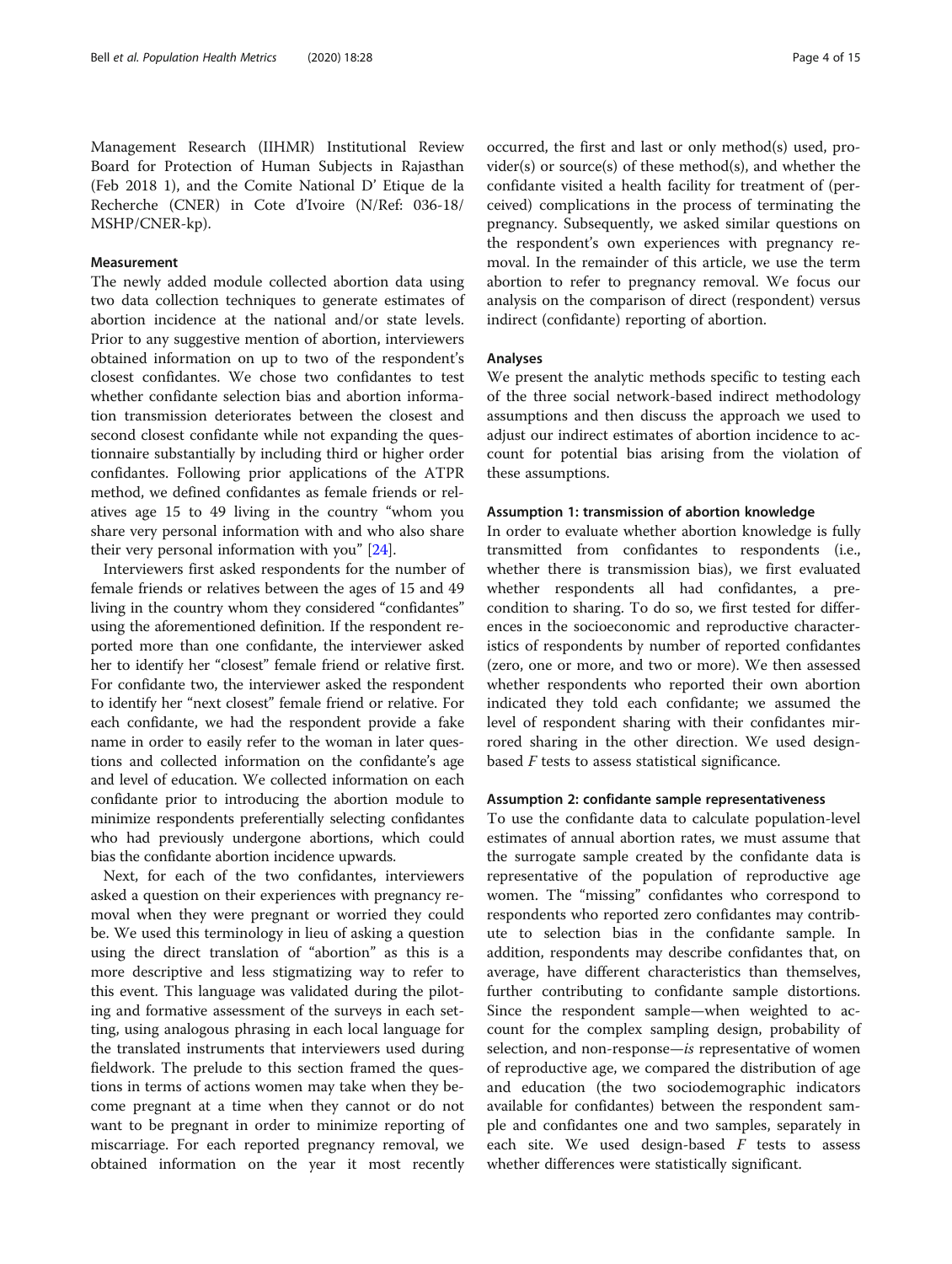Management Research (IIHMR) Institutional Review Board for Protection of Human Subjects in Rajasthan (Feb 2018 1), and the Comite National D' Etique de la Recherche (CNER) in Cote d'Ivoire (N/Ref: 036-18/ MSHP/CNER-kp).

## Measurement

The newly added module collected abortion data using two data collection techniques to generate estimates of abortion incidence at the national and/or state levels. Prior to any suggestive mention of abortion, interviewers obtained information on up to two of the respondent's closest confidantes. We chose two confidantes to test whether confidante selection bias and abortion information transmission deteriorates between the closest and second closest confidante while not expanding the questionnaire substantially by including third or higher order confidantes. Following prior applications of the ATPR method, we defined confidantes as female friends or relatives age 15 to 49 living in the country "whom you share very personal information with and who also share their very personal information with you" [[24\]](#page-13-0).

Interviewers first asked respondents for the number of female friends or relatives between the ages of 15 and 49 living in the country whom they considered "confidantes" using the aforementioned definition. If the respondent reported more than one confidante, the interviewer asked her to identify her "closest" female friend or relative first. For confidante two, the interviewer asked the respondent to identify her "next closest" female friend or relative. For each confidante, we had the respondent provide a fake name in order to easily refer to the woman in later questions and collected information on the confidante's age and level of education. We collected information on each confidante prior to introducing the abortion module to minimize respondents preferentially selecting confidantes who had previously undergone abortions, which could bias the confidante abortion incidence upwards.

Next, for each of the two confidantes, interviewers asked a question on their experiences with pregnancy removal when they were pregnant or worried they could be. We used this terminology in lieu of asking a question using the direct translation of "abortion" as this is a more descriptive and less stigmatizing way to refer to this event. This language was validated during the piloting and formative assessment of the surveys in each setting, using analogous phrasing in each local language for the translated instruments that interviewers used during fieldwork. The prelude to this section framed the questions in terms of actions women may take when they become pregnant at a time when they cannot or do not want to be pregnant in order to minimize reporting of miscarriage. For each reported pregnancy removal, we obtained information on the year it most recently occurred, the first and last or only method(s) used, provider(s) or source(s) of these method(s), and whether the confidante visited a health facility for treatment of (perceived) complications in the process of terminating the pregnancy. Subsequently, we asked similar questions on the respondent's own experiences with pregnancy removal. In the remainder of this article, we use the term abortion to refer to pregnancy removal. We focus our analysis on the comparison of direct (respondent) versus indirect (confidante) reporting of abortion.

## Analyses

We present the analytic methods specific to testing each of the three social network-based indirect methodology assumptions and then discuss the approach we used to adjust our indirect estimates of abortion incidence to account for potential bias arising from the violation of these assumptions.

## Assumption 1: transmission of abortion knowledge

In order to evaluate whether abortion knowledge is fully transmitted from confidantes to respondents (i.e., whether there is transmission bias), we first evaluated whether respondents all had confidantes, a precondition to sharing. To do so, we first tested for differences in the socioeconomic and reproductive characteristics of respondents by number of reported confidantes (zero, one or more, and two or more). We then assessed whether respondents who reported their own abortion indicated they told each confidante; we assumed the level of respondent sharing with their confidantes mirrored sharing in the other direction. We used designbased  $F$  tests to assess statistical significance.

## Assumption 2: confidante sample representativeness

To use the confidante data to calculate population-level estimates of annual abortion rates, we must assume that the surrogate sample created by the confidante data is representative of the population of reproductive age women. The "missing" confidantes who correspond to respondents who reported zero confidantes may contribute to selection bias in the confidante sample. In addition, respondents may describe confidantes that, on average, have different characteristics than themselves, further contributing to confidante sample distortions. Since the respondent sample—when weighted to account for the complex sampling design, probability of selection, and non-response—is representative of women of reproductive age, we compared the distribution of age and education (the two sociodemographic indicators available for confidantes) between the respondent sample and confidantes one and two samples, separately in each site. We used design-based  $F$  tests to assess whether differences were statistically significant.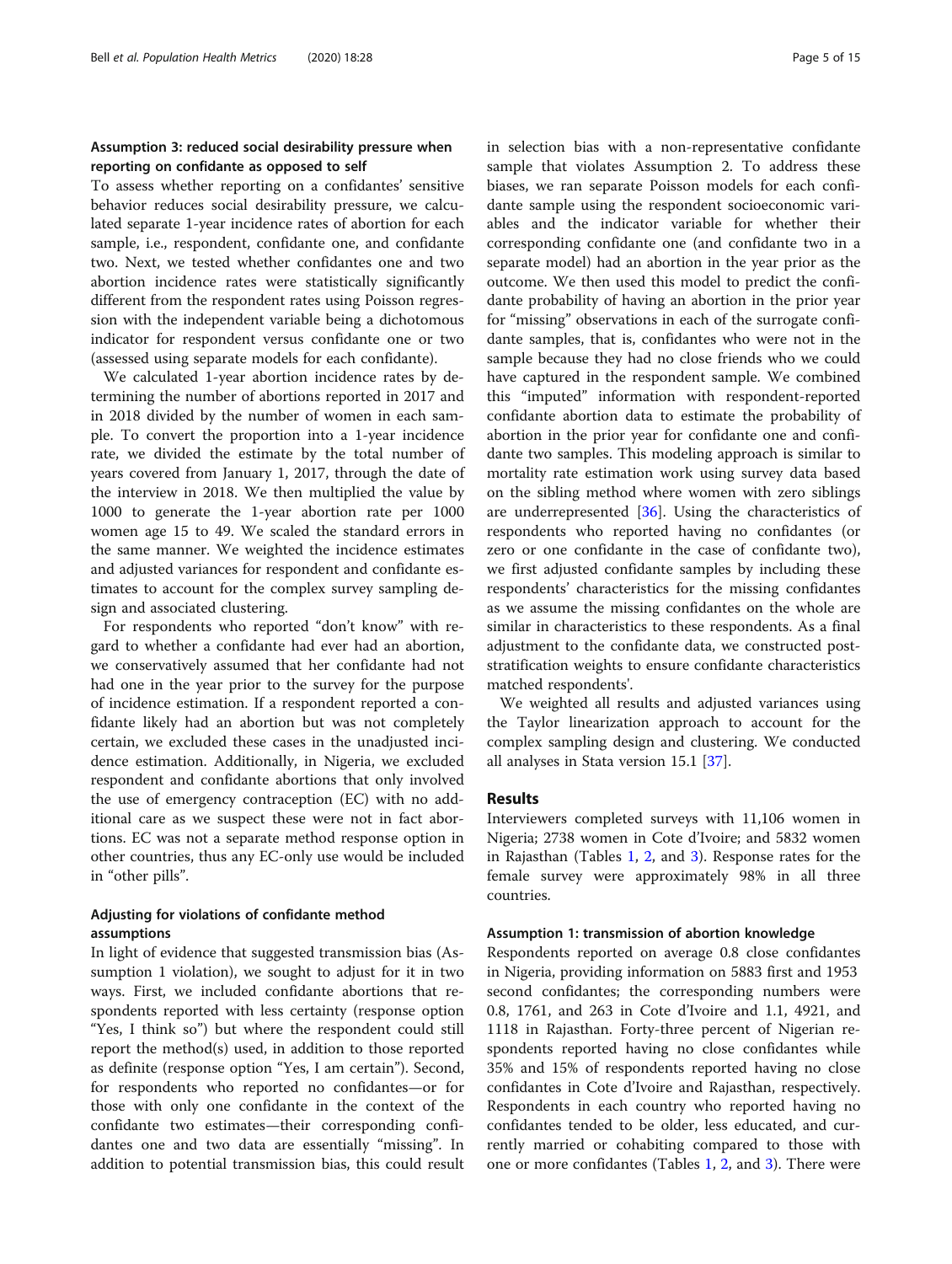## Assumption 3: reduced social desirability pressure when reporting on confidante as opposed to self

To assess whether reporting on a confidantes' sensitive behavior reduces social desirability pressure, we calculated separate 1-year incidence rates of abortion for each sample, i.e., respondent, confidante one, and confidante two. Next, we tested whether confidantes one and two abortion incidence rates were statistically significantly different from the respondent rates using Poisson regression with the independent variable being a dichotomous indicator for respondent versus confidante one or two (assessed using separate models for each confidante).

We calculated 1-year abortion incidence rates by determining the number of abortions reported in 2017 and in 2018 divided by the number of women in each sample. To convert the proportion into a 1-year incidence rate, we divided the estimate by the total number of years covered from January 1, 2017, through the date of the interview in 2018. We then multiplied the value by 1000 to generate the 1-year abortion rate per 1000 women age 15 to 49. We scaled the standard errors in the same manner. We weighted the incidence estimates and adjusted variances for respondent and confidante estimates to account for the complex survey sampling design and associated clustering.

For respondents who reported "don't know" with regard to whether a confidante had ever had an abortion, we conservatively assumed that her confidante had not had one in the year prior to the survey for the purpose of incidence estimation. If a respondent reported a confidante likely had an abortion but was not completely certain, we excluded these cases in the unadjusted incidence estimation. Additionally, in Nigeria, we excluded respondent and confidante abortions that only involved the use of emergency contraception (EC) with no additional care as we suspect these were not in fact abortions. EC was not a separate method response option in other countries, thus any EC-only use would be included in "other pills".

## Adjusting for violations of confidante method assumptions

In light of evidence that suggested transmission bias (Assumption 1 violation), we sought to adjust for it in two ways. First, we included confidante abortions that respondents reported with less certainty (response option "Yes, I think so") but where the respondent could still report the method(s) used, in addition to those reported as definite (response option "Yes, I am certain"). Second, for respondents who reported no confidantes—or for those with only one confidante in the context of the confidante two estimates—their corresponding confidantes one and two data are essentially "missing". In addition to potential transmission bias, this could result in selection bias with a non-representative confidante sample that violates Assumption 2. To address these biases, we ran separate Poisson models for each confidante sample using the respondent socioeconomic variables and the indicator variable for whether their corresponding confidante one (and confidante two in a separate model) had an abortion in the year prior as the outcome. We then used this model to predict the confidante probability of having an abortion in the prior year for "missing" observations in each of the surrogate confidante samples, that is, confidantes who were not in the sample because they had no close friends who we could have captured in the respondent sample. We combined this "imputed" information with respondent-reported confidante abortion data to estimate the probability of abortion in the prior year for confidante one and confidante two samples. This modeling approach is similar to mortality rate estimation work using survey data based on the sibling method where women with zero siblings are underrepresented [[36\]](#page-14-0). Using the characteristics of respondents who reported having no confidantes (or zero or one confidante in the case of confidante two), we first adjusted confidante samples by including these respondents' characteristics for the missing confidantes as we assume the missing confidantes on the whole are similar in characteristics to these respondents. As a final adjustment to the confidante data, we constructed poststratification weights to ensure confidante characteristics matched respondents'.

We weighted all results and adjusted variances using the Taylor linearization approach to account for the complex sampling design and clustering. We conducted all analyses in Stata version 15.1 [[37](#page-14-0)].

## Results

Interviewers completed surveys with 11,106 women in Nigeria; 2738 women in Cote d'Ivoire; and 5832 women in Rajasthan (Tables [1](#page-5-0), [2](#page-7-0), and [3](#page-9-0)). Response rates for the female survey were approximately 98% in all three countries.

## Assumption 1: transmission of abortion knowledge

Respondents reported on average 0.8 close confidantes in Nigeria, providing information on 5883 first and 1953 second confidantes; the corresponding numbers were 0.8, 1761, and 263 in Cote d'Ivoire and 1.1, 4921, and 1118 in Rajasthan. Forty-three percent of Nigerian respondents reported having no close confidantes while 35% and 15% of respondents reported having no close confidantes in Cote d'Ivoire and Rajasthan, respectively. Respondents in each country who reported having no confidantes tended to be older, less educated, and currently married or cohabiting compared to those with one or more confidantes (Tables [1,](#page-5-0) [2,](#page-7-0) and [3\)](#page-9-0). There were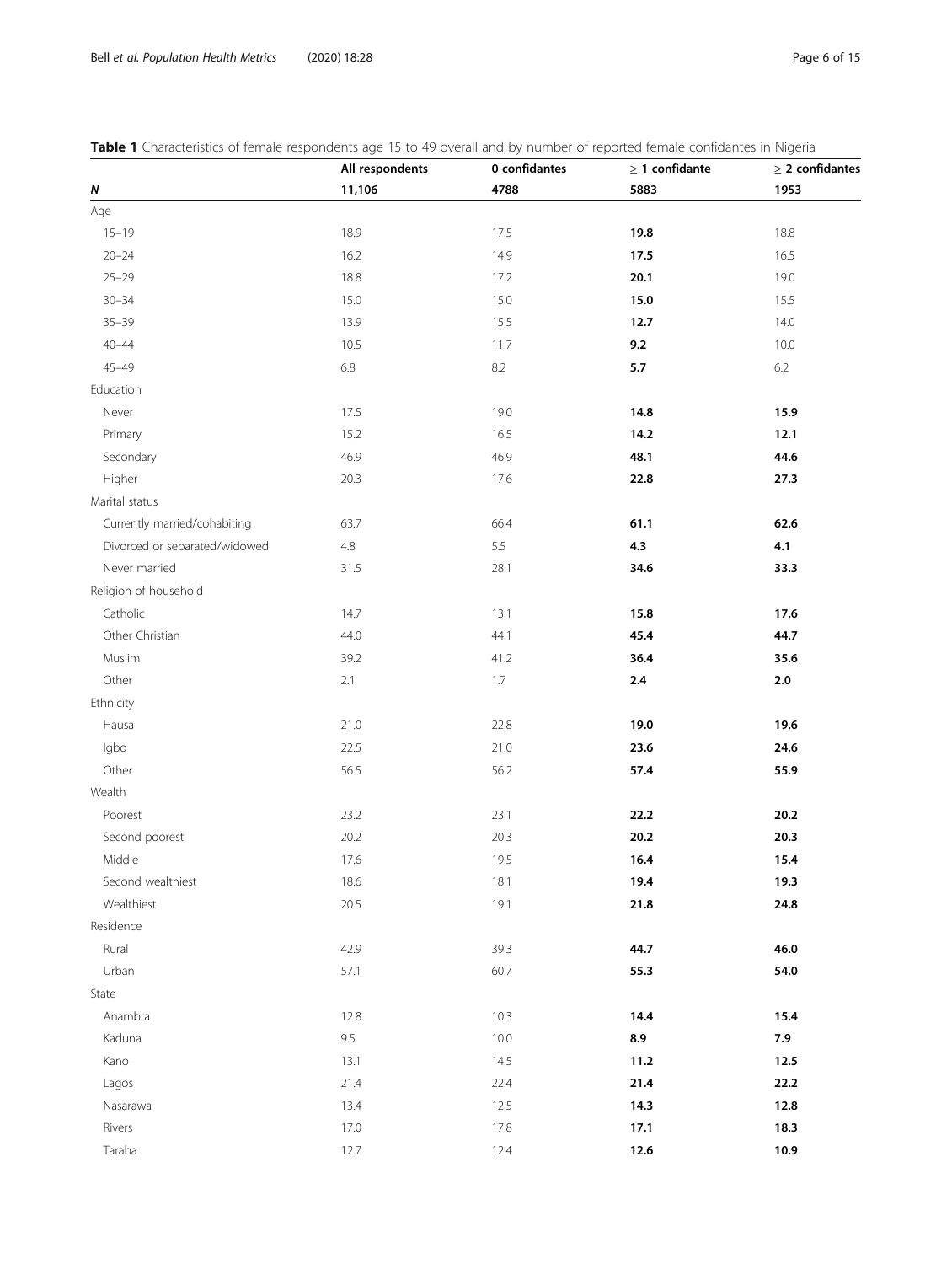|                               | All respondents | 0 confidantes | $\geq 1$ confidante | $\geq$ 2 confidantes |
|-------------------------------|-----------------|---------------|---------------------|----------------------|
| N                             | 11,106          | 4788          | 5883                | 1953                 |
| Age                           |                 |               |                     |                      |
| $15 - 19$                     | 18.9            | 17.5          | 19.8                | 18.8                 |
| $20 - 24$                     | 16.2            | 14.9          | 17.5                | 16.5                 |
| $25 - 29$                     | 18.8            | 17.2          | 20.1                | 19.0                 |
| $30 - 34$                     | 15.0            | 15.0          | 15.0                | 15.5                 |
| $35 - 39$                     | 13.9            | 15.5          | 12.7                | 14.0                 |
| $40 - 44$                     | 10.5            | 11.7          | 9.2                 | 10.0                 |
| $45 - 49$                     | 6.8             | $8.2\,$       | 5.7                 | $6.2\,$              |
| Education                     |                 |               |                     |                      |
| Never                         | 17.5            | 19.0          | 14.8                | 15.9                 |
| Primary                       | 15.2            | 16.5          | 14.2                | 12.1                 |
| Secondary                     | 46.9            | 46.9          | 48.1                | 44.6                 |
| Higher                        | 20.3            | 17.6          | 22.8                | 27.3                 |
| Marital status                |                 |               |                     |                      |
| Currently married/cohabiting  | 63.7            | 66.4          | 61.1                | 62.6                 |
| Divorced or separated/widowed | $4.8\,$         | 5.5           | 4.3                 | 4.1                  |
| Never married                 | 31.5            | 28.1          | 34.6                | 33.3                 |
| Religion of household         |                 |               |                     |                      |
| Catholic                      | 14.7            | 13.1          | 15.8                | 17.6                 |
| Other Christian               | 44.0            | 44.1          | 45.4                | 44.7                 |
| Muslim                        | 39.2            | 41.2          | 36.4                | 35.6                 |
| Other                         | 2.1             | 1.7           | 2.4                 | 2.0                  |
| Ethnicity                     |                 |               |                     |                      |
| Hausa                         | 21.0            | 22.8          | 19.0                | 19.6                 |
| Igbo                          | 22.5            | 21.0          | 23.6                | 24.6                 |
| Other                         | 56.5            | 56.2          | 57.4                | 55.9                 |
| Wealth                        |                 |               |                     |                      |
| Poorest                       | 23.2            | 23.1          | 22.2                | 20.2                 |
| Second poorest                | 20.2            | 20.3          | 20.2                | 20.3                 |
| Middle                        | 17.6            | 19.5          | 16.4                | 15.4                 |
| Second wealthiest             | 18.6            | 18.1          | 19.4                | 19.3                 |
| Wealthiest                    | 20.5            | 19.1          | 21.8                | 24.8                 |
| Residence                     |                 |               |                     |                      |
| Rural                         | 42.9            | 39.3          | 44.7                | 46.0                 |
| Urban                         | 57.1            | 60.7          | 55.3                | 54.0                 |
| State                         |                 |               |                     |                      |
| Anambra                       | 12.8            | 10.3          | 14.4                | 15.4                 |
| Kaduna                        | 9.5             | 10.0          | 8.9                 | 7.9                  |
| Kano                          | 13.1            | 14.5          | 11.2                | 12.5                 |
| Lagos                         | 21.4            | 22.4          | 21.4                | 22.2                 |
| Nasarawa                      | 13.4            | 12.5          | 14.3                | 12.8                 |
| Rivers                        | 17.0            | 17.8          | 17.1                | 18.3                 |
| Taraba                        | 12.7            | 12.4          | 12.6                | 10.9                 |

## <span id="page-5-0"></span>Table 1 Characteristics of female respondents age 15 to 49 overall and by number of reported female confidantes in Nigeria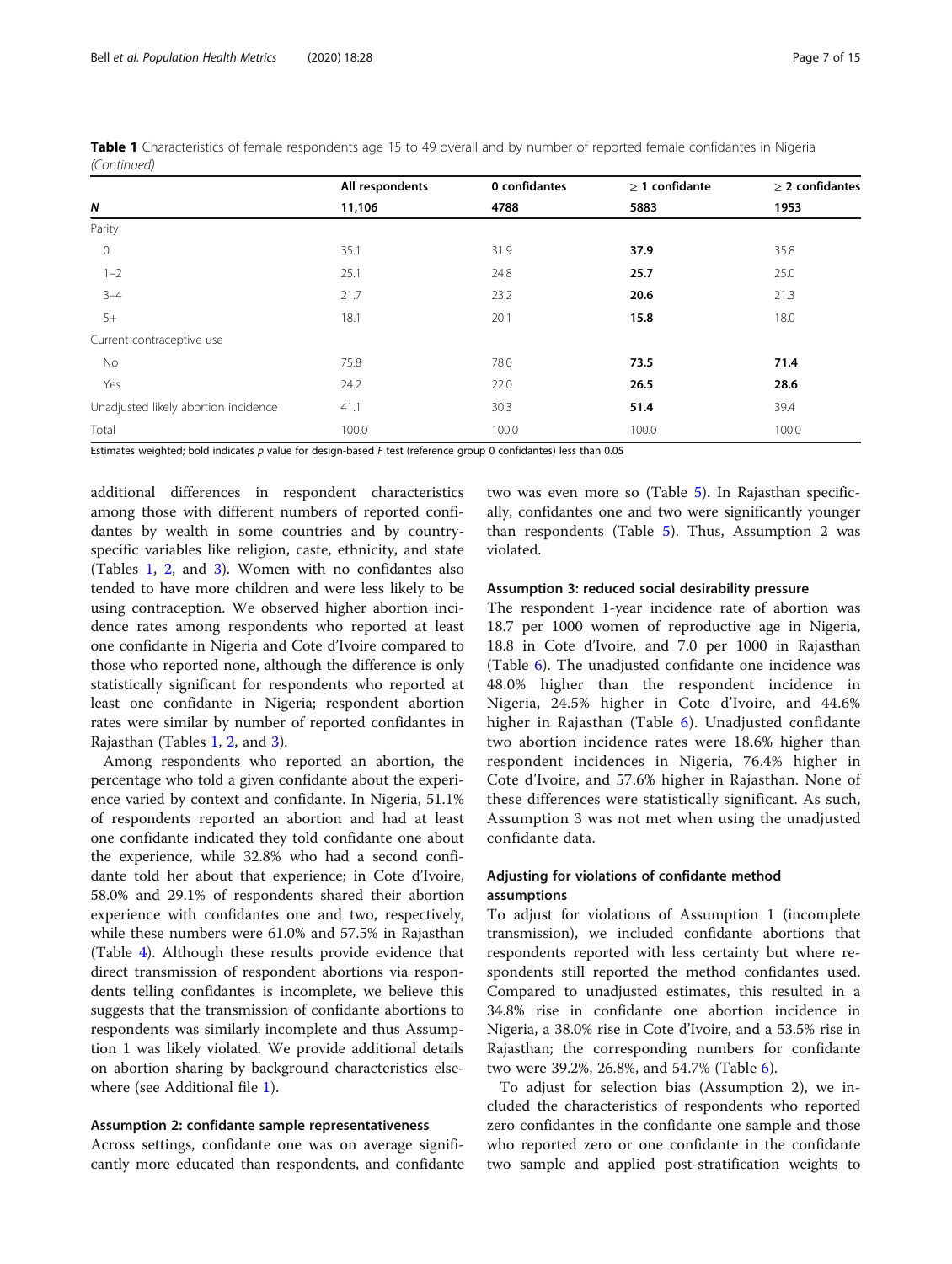| (CONTINUED)                          |                 |               |                     |                      |  |
|--------------------------------------|-----------------|---------------|---------------------|----------------------|--|
|                                      | All respondents | 0 confidantes | $\geq$ 1 confidante | $\geq$ 2 confidantes |  |
| N                                    | 11,106          | 4788          | 5883                | 1953                 |  |
| Parity                               |                 |               |                     |                      |  |
| $\circ$                              | 35.1            | 31.9          | 37.9                | 35.8                 |  |
| $1 - 2$                              | 25.1            | 24.8          | 25.7                | 25.0                 |  |
| $3 - 4$                              | 21.7            | 23.2          | 20.6                | 21.3                 |  |
| $5+$                                 | 18.1            | 20.1          | 15.8                | 18.0                 |  |
| Current contraceptive use            |                 |               |                     |                      |  |
| No                                   | 75.8            | 78.0          | 73.5                | 71.4                 |  |
| Yes                                  | 24.2            | 22.0          | 26.5                | 28.6                 |  |
| Unadjusted likely abortion incidence | 41.1            | 30.3          | 51.4                | 39.4                 |  |
| Total                                | 100.0           | 100.0         | 100.0               | 100.0                |  |

Table 1 Characteristics of female respondents age 15 to 49 overall and by number of reported female confidantes in Nigeria  $(C_{\text{antinual}})$ 

Estimates weighted; bold indicates  $p$  value for design-based  $F$  test (reference group 0 confidantes) less than 0.05

additional differences in respondent characteristics among those with different numbers of reported confidantes by wealth in some countries and by countryspecific variables like religion, caste, ethnicity, and state (Tables [1](#page-5-0), [2,](#page-7-0) and [3\)](#page-9-0). Women with no confidantes also tended to have more children and were less likely to be using contraception. We observed higher abortion incidence rates among respondents who reported at least one confidante in Nigeria and Cote d'Ivoire compared to those who reported none, although the difference is only statistically significant for respondents who reported at least one confidante in Nigeria; respondent abortion rates were similar by number of reported confidantes in Rajasthan (Tables [1,](#page-5-0) [2,](#page-7-0) and [3\)](#page-9-0).

Among respondents who reported an abortion, the percentage who told a given confidante about the experience varied by context and confidante. In Nigeria, 51.1% of respondents reported an abortion and had at least one confidante indicated they told confidante one about the experience, while 32.8% who had a second confidante told her about that experience; in Cote d'Ivoire, 58.0% and 29.1% of respondents shared their abortion experience with confidantes one and two, respectively, while these numbers were 61.0% and 57.5% in Rajasthan (Table [4\)](#page-10-0). Although these results provide evidence that direct transmission of respondent abortions via respondents telling confidantes is incomplete, we believe this suggests that the transmission of confidante abortions to respondents was similarly incomplete and thus Assumption 1 was likely violated. We provide additional details on abortion sharing by background characteristics elsewhere (see Additional file [1](#page-12-0)).

## Assumption 2: confidante sample representativeness

Across settings, confidante one was on average significantly more educated than respondents, and confidante two was even more so (Table [5](#page-10-0)). In Rajasthan specifically, confidantes one and two were significantly younger than respondents (Table [5\)](#page-10-0). Thus, Assumption 2 was violated.

## Assumption 3: reduced social desirability pressure

The respondent 1-year incidence rate of abortion was 18.7 per 1000 women of reproductive age in Nigeria, 18.8 in Cote d'Ivoire, and 7.0 per 1000 in Rajasthan (Table [6](#page-11-0)). The unadjusted confidante one incidence was 48.0% higher than the respondent incidence in Nigeria, 24.5% higher in Cote d'Ivoire, and 44.6% higher in Rajasthan (Table [6](#page-11-0)). Unadjusted confidante two abortion incidence rates were 18.6% higher than respondent incidences in Nigeria, 76.4% higher in Cote d'Ivoire, and 57.6% higher in Rajasthan. None of these differences were statistically significant. As such, Assumption 3 was not met when using the unadjusted confidante data.

## Adjusting for violations of confidante method assumptions

To adjust for violations of Assumption 1 (incomplete transmission), we included confidante abortions that respondents reported with less certainty but where respondents still reported the method confidantes used. Compared to unadjusted estimates, this resulted in a 34.8% rise in confidante one abortion incidence in Nigeria, a 38.0% rise in Cote d'Ivoire, and a 53.5% rise in Rajasthan; the corresponding numbers for confidante two were 39.2%, 26.8%, and 54.7% (Table [6](#page-11-0)).

To adjust for selection bias (Assumption 2), we included the characteristics of respondents who reported zero confidantes in the confidante one sample and those who reported zero or one confidante in the confidante two sample and applied post-stratification weights to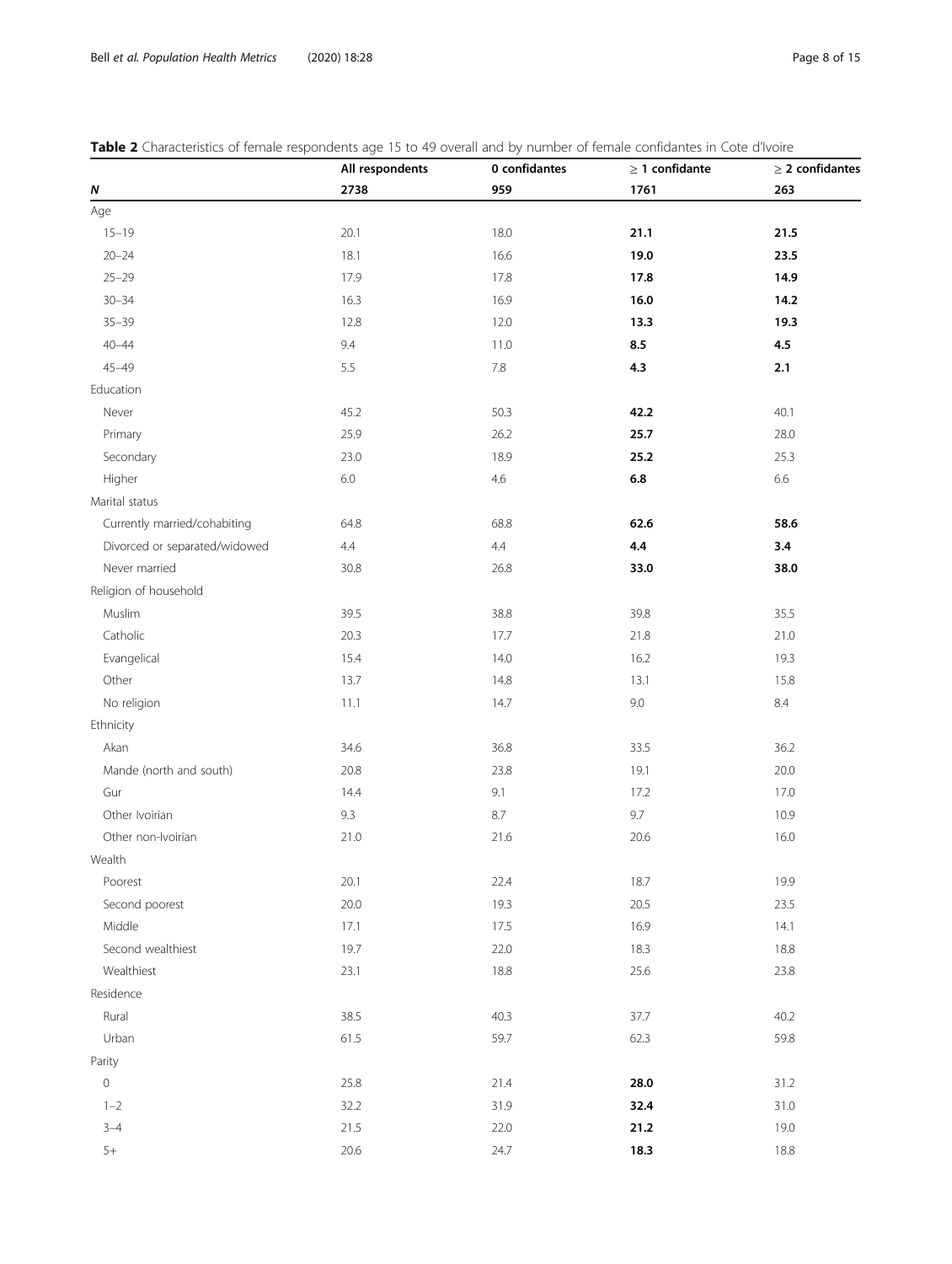<span id="page-7-0"></span>

| Table 2 Characteristics of female respondents age 15 to 49 overall and by number of female confidantes in Cote d'Ivoire |  |  |  |  |  |
|-------------------------------------------------------------------------------------------------------------------------|--|--|--|--|--|
|                                                                                                                         |  |  |  |  |  |

|                               | All respondents | 0 confidantes | $\geq 1$ confidante | $\geq 2$ confidantes |
|-------------------------------|-----------------|---------------|---------------------|----------------------|
| N                             | 2738            | 959           | 1761                | 263                  |
| Age                           |                 |               |                     |                      |
| $15 - 19$                     | 20.1            | 18.0          | 21.1                | 21.5                 |
| $20 - 24$                     | 18.1            | 16.6          | 19.0                | 23.5                 |
| $25 - 29$                     | 17.9            | 17.8          | 17.8                | 14.9                 |
| $30 - 34$                     | 16.3            | 16.9          | 16.0                | 14.2                 |
| $35 - 39$                     | 12.8            | 12.0          | 13.3                | 19.3                 |
| $40 - 44$                     | 9.4             | 11.0          | 8.5                 | 4.5                  |
| $45 - 49$                     | 5.5             | $7.8\,$       | 4.3                 | 2.1                  |
| Education                     |                 |               |                     |                      |
| Never                         | 45.2            | 50.3          | 42.2                | 40.1                 |
| Primary                       | 25.9            | 26.2          | 25.7                | 28.0                 |
| Secondary                     | 23.0            | 18.9          | 25.2                | 25.3                 |
| Higher                        | 6.0             | 4.6           | $6.8\,$             | 6.6                  |
| Marital status                |                 |               |                     |                      |
| Currently married/cohabiting  | 64.8            | 68.8          | 62.6                | 58.6                 |
| Divorced or separated/widowed | 4.4             | $4.4\,$       | 4.4                 | 3.4                  |
| Never married                 | 30.8            | 26.8          | 33.0                | 38.0                 |
| Religion of household         |                 |               |                     |                      |
| Muslim                        | 39.5            | 38.8          | 39.8                | 35.5                 |
| Catholic                      | 20.3            | 17.7          | 21.8                | 21.0                 |
| Evangelical                   | 15.4            | 14.0          | 16.2                | 19.3                 |
| Other                         | 13.7            | 14.8          | 13.1                | 15.8                 |
| No religion                   | 11.1            | 14.7          | 9.0                 | $8.4\,$              |
| Ethnicity                     |                 |               |                     |                      |
| Akan                          | 34.6            | 36.8          | 33.5                | 36.2                 |
| Mande (north and south)       | 20.8            | 23.8          | 19.1                | 20.0                 |
| Gur                           | 14.4            | 9.1           | 17.2                | 17.0                 |
| Other Ivoirian                | 9.3             | $8.7\,$       | 9.7                 | 10.9                 |
| Other non-Ivoirian            | 21.0            | 21.6          | 20.6                | 16.0                 |
| Wealth                        |                 |               |                     |                      |
| Poorest                       | 20.1            | 22.4          | 18.7                | 19.9                 |
| Second poorest                | 20.0            | 19.3          | 20.5                | 23.5                 |
| Middle                        | 17.1            | 17.5          | 16.9                | 14.1                 |
| Second wealthiest             | 19.7            | 22.0          | 18.3                | 18.8                 |
| Wealthiest                    | 23.1            | 18.8          | 25.6                | 23.8                 |
| Residence                     |                 |               |                     |                      |
| Rural                         | 38.5            | 40.3          | 37.7                | 40.2                 |
| Urban                         | 61.5            | 59.7          | 62.3                | 59.8                 |
| Parity                        |                 |               |                     |                      |
| $\mathbf 0$                   | 25.8            | 21.4          | 28.0                | 31.2                 |
| $1 - 2$                       | 32.2            | 31.9          | 32.4                | 31.0                 |
| $3 - 4$                       | 21.5            | 22.0          | 21.2                | 19.0                 |
| $5+$                          | 20.6            | 24.7          | 18.3                | 18.8                 |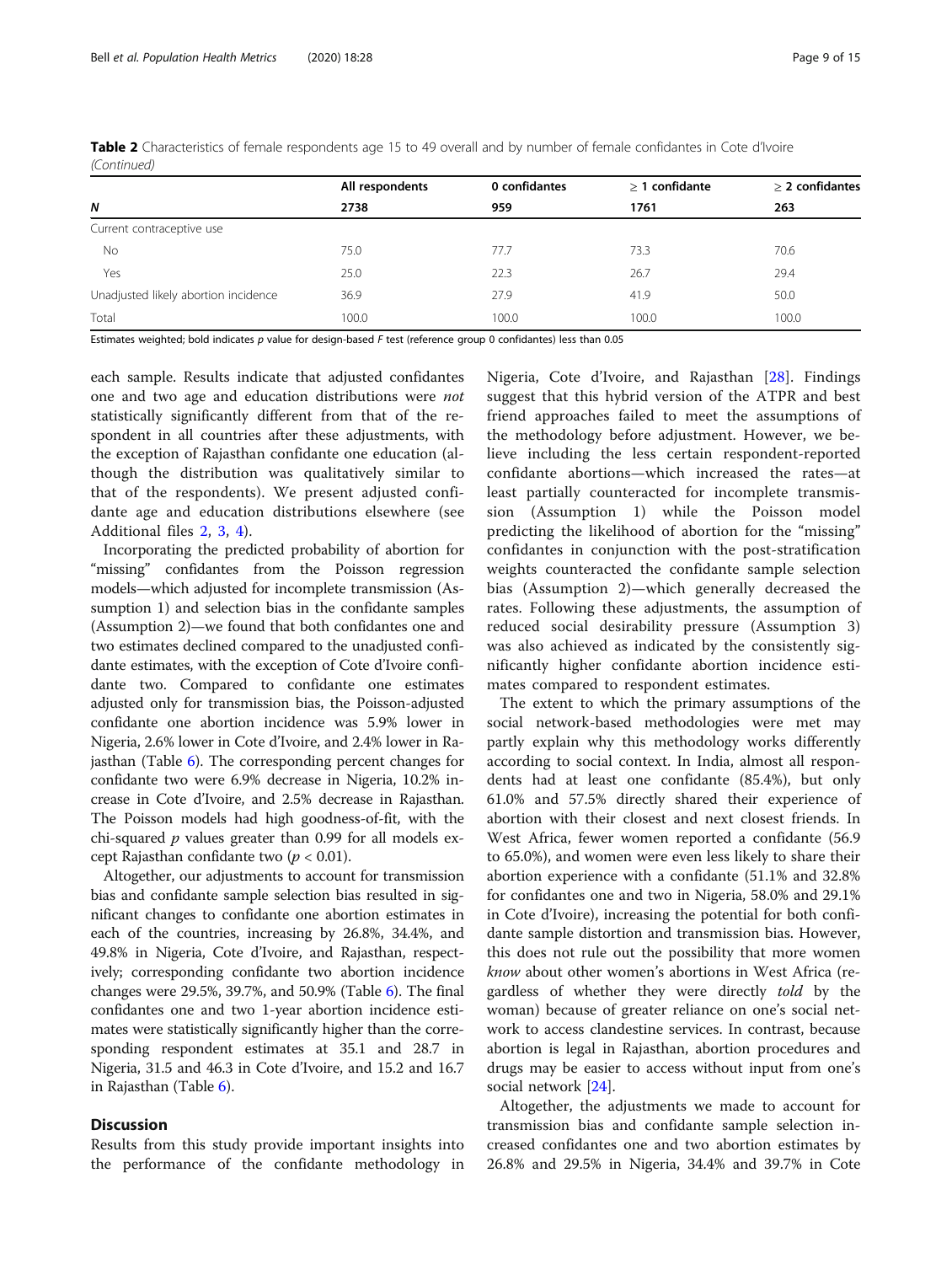|                                      | All respondents | 0 confidantes | $>$ 1 confidante | $>$ 2 confidantes |
|--------------------------------------|-----------------|---------------|------------------|-------------------|
| N                                    | 2738            | 959           | 1761             | 263               |
| Current contraceptive use            |                 |               |                  |                   |
| No                                   | 75.0            | 77.7          | 73.3             | 70.6              |
| Yes                                  | 25.0            | 22.3          | 26.7             | 29.4              |
| Unadjusted likely abortion incidence | 36.9            | 27.9          | 41.9             | 50.0              |
| Total                                | 100.0           | 100.0         | 100.0            | 100.0             |

Table 2 Characteristics of female respondents age 15 to 49 overall and by number of female confidantes in Cote d'Ivoire (Continued)

Estimates weighted; bold indicates p value for design-based F test (reference group 0 confidantes) less than 0.05

each sample. Results indicate that adjusted confidantes one and two age and education distributions were not statistically significantly different from that of the respondent in all countries after these adjustments, with the exception of Rajasthan confidante one education (although the distribution was qualitatively similar to that of the respondents). We present adjusted confidante age and education distributions elsewhere (see Additional files [2](#page-12-0), [3](#page-12-0), [4\)](#page-12-0).

Incorporating the predicted probability of abortion for "missing" confidantes from the Poisson regression models—which adjusted for incomplete transmission (Assumption 1) and selection bias in the confidante samples (Assumption 2)—we found that both confidantes one and two estimates declined compared to the unadjusted confidante estimates, with the exception of Cote d'Ivoire confidante two. Compared to confidante one estimates adjusted only for transmission bias, the Poisson-adjusted confidante one abortion incidence was 5.9% lower in Nigeria, 2.6% lower in Cote d'Ivoire, and 2.4% lower in Rajasthan (Table [6](#page-11-0)). The corresponding percent changes for confidante two were 6.9% decrease in Nigeria, 10.2% increase in Cote d'Ivoire, and 2.5% decrease in Rajasthan. The Poisson models had high goodness-of-fit, with the chi-squared  $p$  values greater than 0.99 for all models except Rajasthan confidante two ( $p < 0.01$ ).

Altogether, our adjustments to account for transmission bias and confidante sample selection bias resulted in significant changes to confidante one abortion estimates in each of the countries, increasing by 26.8%, 34.4%, and 49.8% in Nigeria, Cote d'Ivoire, and Rajasthan, respectively; corresponding confidante two abortion incidence changes were 29.5%, 39.7%, and 50.9% (Table [6](#page-11-0)). The final confidantes one and two 1-year abortion incidence estimates were statistically significantly higher than the corresponding respondent estimates at 35.1 and 28.7 in Nigeria, 31.5 and 46.3 in Cote d'Ivoire, and 15.2 and 16.7 in Rajasthan (Table [6](#page-11-0)).

## **Discussion**

Results from this study provide important insights into the performance of the confidante methodology in Nigeria, Cote d'Ivoire, and Rajasthan [\[28](#page-13-0)]. Findings suggest that this hybrid version of the ATPR and best friend approaches failed to meet the assumptions of the methodology before adjustment. However, we believe including the less certain respondent-reported confidante abortions—which increased the rates—at least partially counteracted for incomplete transmission (Assumption 1) while the Poisson model predicting the likelihood of abortion for the "missing" confidantes in conjunction with the post-stratification weights counteracted the confidante sample selection bias (Assumption 2)—which generally decreased the rates. Following these adjustments, the assumption of reduced social desirability pressure (Assumption 3) was also achieved as indicated by the consistently significantly higher confidante abortion incidence estimates compared to respondent estimates.

The extent to which the primary assumptions of the social network-based methodologies were met may partly explain why this methodology works differently according to social context. In India, almost all respondents had at least one confidante (85.4%), but only 61.0% and 57.5% directly shared their experience of abortion with their closest and next closest friends. In West Africa, fewer women reported a confidante (56.9 to 65.0%), and women were even less likely to share their abortion experience with a confidante (51.1% and 32.8% for confidantes one and two in Nigeria, 58.0% and 29.1% in Cote d'Ivoire), increasing the potential for both confidante sample distortion and transmission bias. However, this does not rule out the possibility that more women know about other women's abortions in West Africa (regardless of whether they were directly told by the woman) because of greater reliance on one's social network to access clandestine services. In contrast, because abortion is legal in Rajasthan, abortion procedures and drugs may be easier to access without input from one's social network [\[24\]](#page-13-0).

Altogether, the adjustments we made to account for transmission bias and confidante sample selection increased confidantes one and two abortion estimates by 26.8% and 29.5% in Nigeria, 34.4% and 39.7% in Cote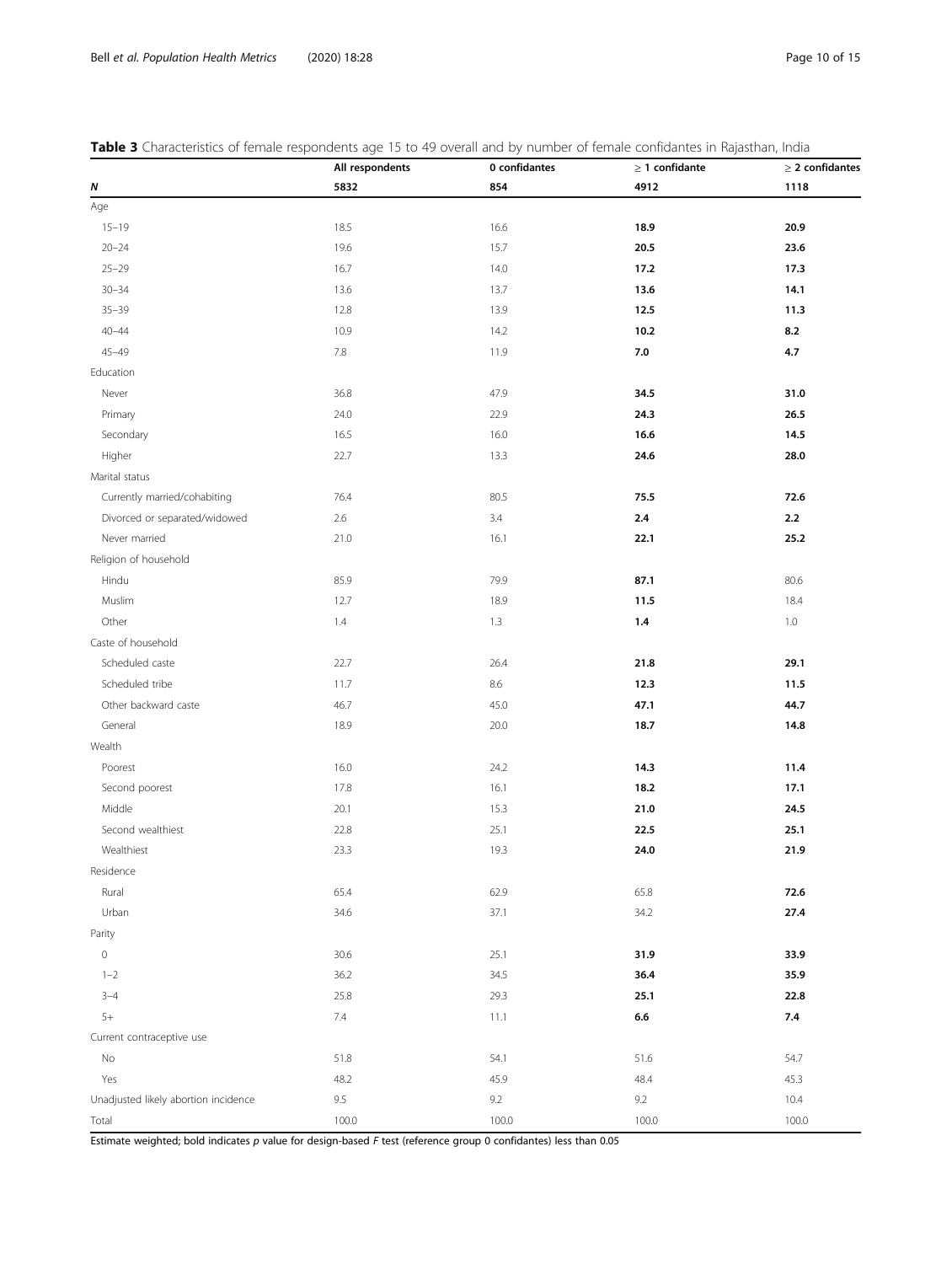<span id="page-9-0"></span>

| <b>Table 3</b> Characteristics of female respondents age 15 to 49 overall and by number of female confidantes in Raiasthan, India |  |  |  |  |  |
|-----------------------------------------------------------------------------------------------------------------------------------|--|--|--|--|--|
|                                                                                                                                   |  |  |  |  |  |

| 5832<br>854<br>4912<br>1118<br>Ν<br>Age<br>$15 - 19$<br>20.9<br>18.5<br>16.6<br>18.9<br>$20 - 24$<br>15.7<br>20.5<br>23.6<br>19.6 |  |
|-----------------------------------------------------------------------------------------------------------------------------------|--|
|                                                                                                                                   |  |
|                                                                                                                                   |  |
|                                                                                                                                   |  |
|                                                                                                                                   |  |
| $25 - 29$<br>16.7<br>14.0<br>17.2<br>17.3                                                                                         |  |
| $30 - 34$<br>14.1<br>13.6<br>13.7<br>13.6                                                                                         |  |
| $35 - 39$<br>11.3<br>12.8<br>13.9<br>12.5                                                                                         |  |
| $40 - 44$<br>10.9<br>8.2<br>14.2<br>10.2                                                                                          |  |
| $45 - 49$<br>$7.8\,$<br>$7.0\,$<br>4.7<br>11.9                                                                                    |  |
| Education                                                                                                                         |  |
| 36.8<br>47.9<br>34.5<br>31.0<br>Never                                                                                             |  |
| 24.0<br>22.9<br>24.3<br>26.5<br>Primary                                                                                           |  |
| Secondary<br>16.5<br>16.0<br>16.6<br>14.5                                                                                         |  |
| Higher<br>22.7<br>24.6<br>28.0<br>13.3                                                                                            |  |
| Marital status                                                                                                                    |  |
| Currently married/cohabiting<br>75.5<br>72.6<br>76.4<br>80.5                                                                      |  |
| 2.2<br>Divorced or separated/widowed<br>$2.6\,$<br>3.4<br>$2.4\,$                                                                 |  |
| Never married<br>25.2<br>21.0<br>16.1<br>22.1                                                                                     |  |
| Religion of household                                                                                                             |  |
| Hindu<br>85.9<br>79.9<br>87.1<br>80.6                                                                                             |  |
| Muslim<br>12.7<br>18.9<br>11.5<br>18.4                                                                                            |  |
| Other<br>$1.0\,$<br>1.4<br>1.3<br>1.4                                                                                             |  |
| Caste of household                                                                                                                |  |
| Scheduled caste<br>22.7<br>26.4<br>21.8<br>29.1                                                                                   |  |
| Scheduled tribe<br>8.6<br>12.3<br>11.5<br>11.7                                                                                    |  |
| Other backward caste<br>46.7<br>45.0<br>47.1<br>44.7                                                                              |  |
| General<br>18.9<br>20.0<br>14.8<br>18.7                                                                                           |  |
| Wealth                                                                                                                            |  |
| Poorest<br>16.0<br>24.2<br>14.3<br>11.4                                                                                           |  |
| Second poorest<br>18.2<br>17.8<br>16.1<br>17.1                                                                                    |  |
| Middle<br>20.1<br>21.0<br>24.5<br>15.3                                                                                            |  |
| Second wealthiest<br>22.8<br>25.1<br>22.5<br>25.1                                                                                 |  |
| Wealthiest<br>23.3<br>24.0<br>21.9<br>19.3                                                                                        |  |
| Residence                                                                                                                         |  |
| Rural<br>65.4<br>62.9<br>65.8<br>72.6                                                                                             |  |
| Urban<br>34.6<br>37.1<br>34.2<br>27.4                                                                                             |  |
| Parity                                                                                                                            |  |
| $\circ$<br>30.6<br>25.1<br>31.9<br>33.9                                                                                           |  |
| $1 - 2$<br>36.2<br>34.5<br>36.4<br>35.9                                                                                           |  |
| 25.8<br>29.3<br>22.8<br>$3 - 4$<br>25.1                                                                                           |  |
| $7.4\,$<br>$6.6\,$<br>$7.4$<br>$5+$<br>11.1                                                                                       |  |
| Current contraceptive use                                                                                                         |  |
| No<br>51.8<br>54.1<br>51.6<br>54.7                                                                                                |  |
| 48.2<br>45.9<br>48.4<br>Yes<br>45.3                                                                                               |  |
| 9.5<br>9.2<br>9.2<br>Unadjusted likely abortion incidence<br>10.4                                                                 |  |
| 100.0<br>100.0<br>100.0<br>Total<br>100.0                                                                                         |  |

Estimate weighted; bold indicates p value for design-based F test (reference group 0 confidantes) less than 0.05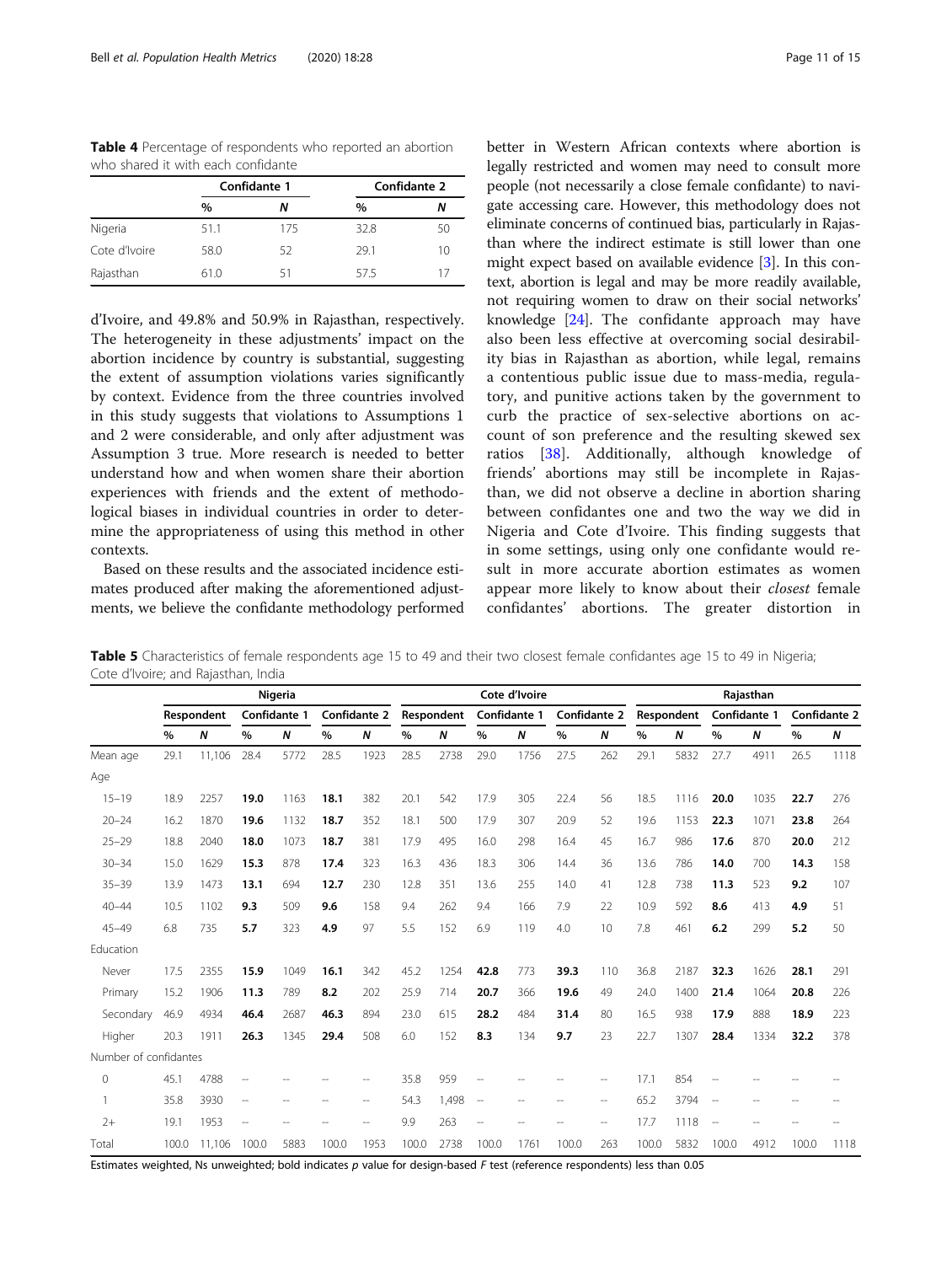<span id="page-10-0"></span>Table 4 Percentage of respondents who reported an abortion who shared it with each confidante

|               |               | Confidante 1 |               | Confidante 2 |
|---------------|---------------|--------------|---------------|--------------|
|               | $\frac{0}{0}$ |              | $\frac{0}{0}$ | N            |
| Nigeria       | 51.1          | 175          | 32.8          | 50           |
| Cote d'Ivoire | 58.0          | 52           | 29.1          | 10           |
| Rajasthan     | 61.0          | 51           | 575           |              |

d'Ivoire, and 49.8% and 50.9% in Rajasthan, respectively. The heterogeneity in these adjustments' impact on the abortion incidence by country is substantial, suggesting the extent of assumption violations varies significantly by context. Evidence from the three countries involved in this study suggests that violations to Assumptions 1 and 2 were considerable, and only after adjustment was Assumption 3 true. More research is needed to better understand how and when women share their abortion experiences with friends and the extent of methodological biases in individual countries in order to determine the appropriateness of using this method in other contexts.

Based on these results and the associated incidence estimates produced after making the aforementioned adjustments, we believe the confidante methodology performed

better in Western African contexts where abortion is legally restricted and women may need to consult more people (not necessarily a close female confidante) to navigate accessing care. However, this methodology does not eliminate concerns of continued bias, particularly in Rajasthan where the indirect estimate is still lower than one might expect based on available evidence [[3\]](#page-13-0). In this context, abortion is legal and may be more readily available, not requiring women to draw on their social networks' knowledge [\[24\]](#page-13-0). The confidante approach may have also been less effective at overcoming social desirability bias in Rajasthan as abortion, while legal, remains a contentious public issue due to mass-media, regulatory, and punitive actions taken by the government to curb the practice of sex-selective abortions on account of son preference and the resulting skewed sex ratios [[38](#page-14-0)]. Additionally, although knowledge of friends' abortions may still be incomplete in Rajasthan, we did not observe a decline in abortion sharing between confidantes one and two the way we did in Nigeria and Cote d'Ivoire. This finding suggests that in some settings, using only one confidante would result in more accurate abortion estimates as women appear more likely to know about their closest female confidantes' abortions. The greater distortion in

Table 5 Characteristics of female respondents age 15 to 49 and their two closest female confidantes age 15 to 49 in Nigeria; Cote d'Ivoire; and Rajasthan, India

|                       | Nigeria |            |                          |              | Cote d'Ivoire |              |       |                            |                | Rajasthan |       |                          |       |            |               |              |       |                  |  |
|-----------------------|---------|------------|--------------------------|--------------|---------------|--------------|-------|----------------------------|----------------|-----------|-------|--------------------------|-------|------------|---------------|--------------|-------|------------------|--|
|                       |         | Respondent |                          | Confidante 1 |               | Confidante 2 |       | Respondent<br>Confidante 1 |                |           |       | Confidante 2             |       | Respondent |               | Confidante 1 |       | Confidante 2     |  |
|                       | $\%$    | N          | %                        | N            | %             | N            | %     | $\boldsymbol{N}$           | %              | N         | %     | N                        | %     | N          | %             | N            | %     | $\boldsymbol{N}$ |  |
| Mean age              | 29.1    | 11.106     | 28.4                     | 5772         | 28.5          | 1923         | 28.5  | 2738                       | 29.0           | 1756      | 27.5  | 262                      | 29.1  | 5832       | 27.7          | 4911         | 26.5  | 1118             |  |
| Age                   |         |            |                          |              |               |              |       |                            |                |           |       |                          |       |            |               |              |       |                  |  |
| $15 - 19$             | 18.9    | 2257       | 19.0                     | 1163         | 18.1          | 382          | 20.1  | 542                        | 17.9           | 305       | 22.4  | 56                       | 18.5  | 1116       | 20.0          | 1035         | 22.7  | 276              |  |
| $20 - 24$             | 16.2    | 1870       | 19.6                     | 1132         | 18.7          | 352          | 18.1  | 500                        | 17.9           | 307       | 20.9  | 52                       | 19.6  | 1153       | 22.3          | 1071         | 23.8  | 264              |  |
| $25 - 29$             | 18.8    | 2040       | 18.0                     | 1073         | 18.7          | 381          | 17.9  | 495                        | 16.0           | 298       | 16.4  | 45                       | 16.7  | 986        | 17.6          | 870          | 20.0  | 212              |  |
| $30 - 34$             | 15.0    | 1629       | 15.3                     | 878          | 17.4          | 323          | 16.3  | 436                        | 18.3           | 306       | 14.4  | 36                       | 13.6  | 786        | 14.0          | 700          | 14.3  | 158              |  |
| $35 - 39$             | 13.9    | 1473       | 13.1                     | 694          | 12.7          | 230          | 12.8  | 351                        | 13.6           | 255       | 14.0  | 41                       | 12.8  | 738        | 11.3          | 523          | 9.2   | 107              |  |
| $40 - 44$             | 10.5    | 1102       | 9.3                      | 509          | 9.6           | 158          | 9.4   | 262                        | 9.4            | 166       | 7.9   | 22                       | 10.9  | 592        | 8.6           | 413          | 4.9   | 51               |  |
| $45 - 49$             | 6.8     | 735        | 5.7                      | 323          | 4.9           | 97           | 5.5   | 152                        | 6.9            | 119       | 4.0   | 10                       | 7.8   | 461        | 6.2           | 299          | 5.2   | 50               |  |
| Education             |         |            |                          |              |               |              |       |                            |                |           |       |                          |       |            |               |              |       |                  |  |
| Never                 | 17.5    | 2355       | 15.9                     | 1049         | 16.1          | 342          | 45.2  | 1254                       | 42.8           | 773       | 39.3  | 110                      | 36.8  | 2187       | 32.3          | 1626         | 28.1  | 291              |  |
| Primary               | 15.2    | 1906       | 11.3                     | 789          | 8.2           | 202          | 25.9  | 714                        | 20.7           | 366       | 19.6  | 49                       | 24.0  | 1400       | 21.4          | 1064         | 20.8  | 226              |  |
| Secondary             | 46.9    | 4934       | 46.4                     | 2687         | 46.3          | 894          | 23.0  | 615                        | 28.2           | 484       | 31.4  | 80                       | 16.5  | 938        | 17.9          | 888          | 18.9  | 223              |  |
| Higher                | 20.3    | 1911       | 26.3                     | 1345         | 29.4          | 508          | 6.0   | 152                        | 8.3            | 134       | 9.7   | 23                       | 22.7  | 1307       | 28.4          | 1334         | 32.2  | 378              |  |
| Number of confidantes |         |            |                          |              |               |              |       |                            |                |           |       |                          |       |            |               |              |       |                  |  |
| $\mathbf{0}$          | 45.1    | 4788       | $\overline{\phantom{m}}$ |              |               |              | 35.8  | 959                        | $\overline{a}$ |           |       | ÷÷                       | 17.1  | 854        |               |              |       |                  |  |
| 1                     | 35.8    | 3930       | $\overline{\phantom{a}}$ |              |               | --           | 54.3  | 1.498                      | $\sim$         | --        |       | $\overline{\phantom{m}}$ | 65.2  | 3794       | $\rightarrow$ |              |       |                  |  |
| $2+$                  | 19.1    | 1953       |                          |              |               |              | 9.9   | 263                        | --             |           |       | ÷÷                       | 17.7  | 1118       | $\sim$        |              |       |                  |  |
| Total                 | 100.0   | 11.106     | 100.0                    | 5883         | 100.0         | 1953         | 100.0 | 2738                       | 100.0          | 1761      | 100.0 | 263                      | 100.0 | 5832       | 100.0         | 4912         | 100.0 | 1118             |  |

Estimates weighted, Ns unweighted; bold indicates  $p$  value for design-based F test (reference respondents) less than 0.05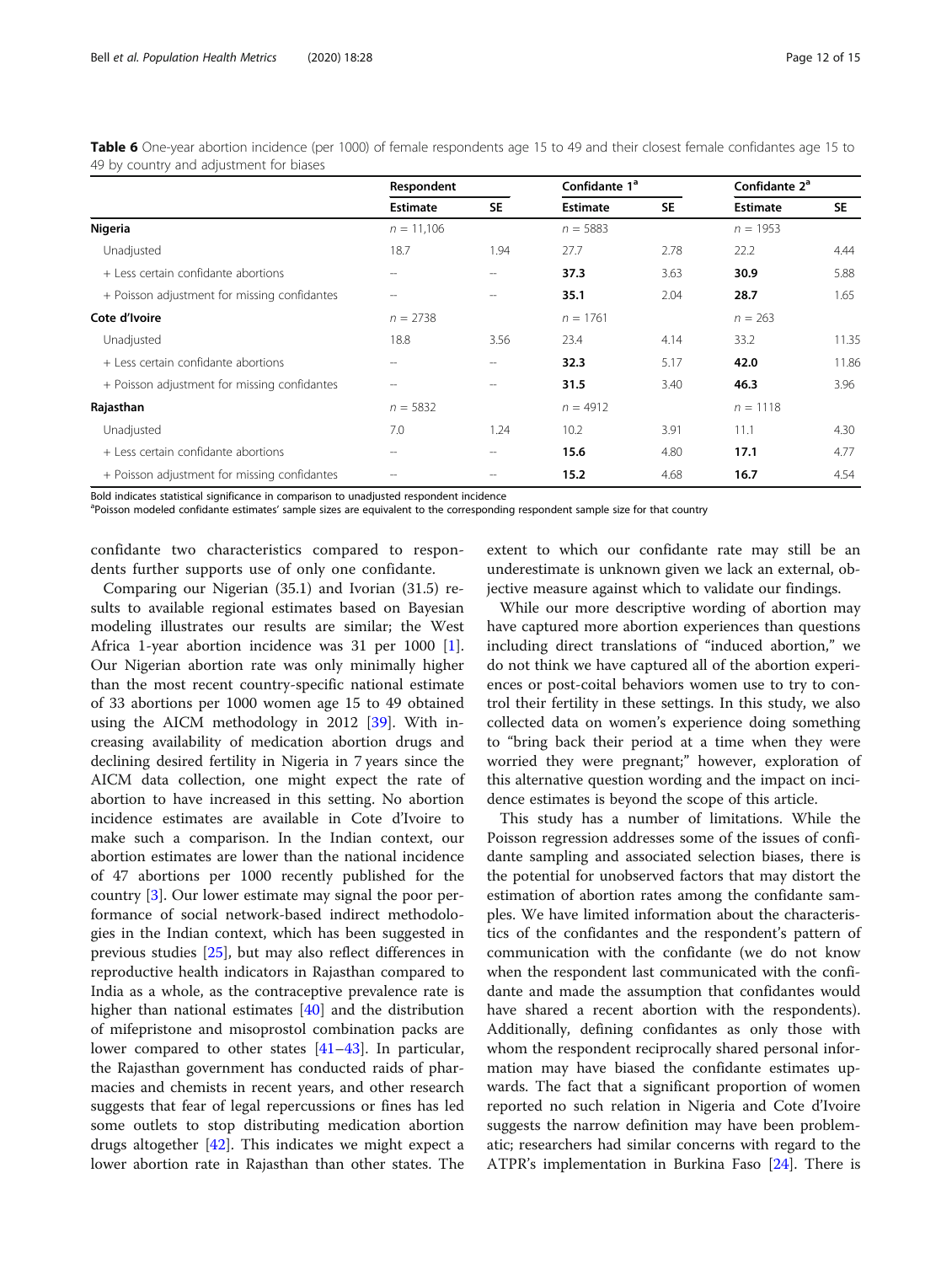| 49 by Country and adjustment for blases      |                   |                   |                           |           |                           |           |  |
|----------------------------------------------|-------------------|-------------------|---------------------------|-----------|---------------------------|-----------|--|
|                                              | Respondent        |                   | Confidante 1 <sup>ª</sup> |           | Confidante 2 <sup>ª</sup> |           |  |
|                                              | <b>Estimate</b>   | <b>SE</b>         | <b>Estimate</b>           | <b>SE</b> | <b>Estimate</b>           | <b>SE</b> |  |
| Nigeria                                      | $n = 11,106$      |                   | $n = 5883$                |           | $n = 1953$                |           |  |
| Unadjusted                                   | 18.7              | 1.94              | 27.7                      | 2.78      | 22.2                      | 4.44      |  |
| + Less certain confidante abortions          | $-$               | $\qquad \qquad -$ | 37.3                      | 3.63      | 30.9                      | 5.88      |  |
| + Poisson adjustment for missing confidantes | $\qquad \qquad -$ | $-\,-$            | 35.1                      | 2.04      | 28.7                      | 1.65      |  |
| Cote d'Ivoire                                | $n = 2738$        |                   | $n = 1761$                |           | $n = 263$                 |           |  |
| Unadjusted                                   | 18.8              | 3.56              | 23.4                      | 4.14      | 33.2                      | 11.35     |  |
| + Less certain confidante abortions          | $\qquad \qquad -$ | $\qquad \qquad -$ | 32.3                      | 5.17      | 42.0                      | 11.86     |  |
| + Poisson adjustment for missing confidantes | $- -$             | $\qquad \qquad -$ | 31.5                      | 3.40      | 46.3                      | 3.96      |  |
| Rajasthan                                    | $n = 5832$        |                   | $n = 4912$                |           | $n = 1118$                |           |  |
| Unadjusted                                   | 7.0               | 1.24              | 10.2                      | 3.91      | 11.1                      | 4.30      |  |
| + Less certain confidante abortions          | $- -$             | $\qquad \qquad -$ | 15.6                      | 4.80      | 17.1                      | 4.77      |  |

+ Poisson adjustment for missing confidantes -- -- -- -- - - - - 15.2 4.68 16.7 4.54

<span id="page-11-0"></span>Table 6 One-year abortion incidence (per 1000) of female respondents age 15 to 49 and their closest female confidantes age 15 to 49 by country and adjustment for biases

Bold indicates statistical significance in comparison to unadjusted respondent incidence

<sup>a</sup>Poisson modeled confidante estimates' sample sizes are equivalent to the corresponding respondent sample size for that country

confidante two characteristics compared to respondents further supports use of only one confidante.

Comparing our Nigerian (35.1) and Ivorian (31.5) results to available regional estimates based on Bayesian modeling illustrates our results are similar; the West Africa 1-year abortion incidence was 31 per 1000 [\[1](#page-13-0)]. Our Nigerian abortion rate was only minimally higher than the most recent country-specific national estimate of 33 abortions per 1000 women age 15 to 49 obtained using the AICM methodology in 2012 [\[39](#page-14-0)]. With increasing availability of medication abortion drugs and declining desired fertility in Nigeria in 7 years since the AICM data collection, one might expect the rate of abortion to have increased in this setting. No abortion incidence estimates are available in Cote d'Ivoire to make such a comparison. In the Indian context, our abortion estimates are lower than the national incidence of 47 abortions per 1000 recently published for the country [\[3](#page-13-0)]. Our lower estimate may signal the poor performance of social network-based indirect methodologies in the Indian context, which has been suggested in previous studies [[25\]](#page-13-0), but may also reflect differences in reproductive health indicators in Rajasthan compared to India as a whole, as the contraceptive prevalence rate is higher than national estimates [\[40](#page-14-0)] and the distribution of mifepristone and misoprostol combination packs are lower compared to other states [[41](#page-14-0)–[43](#page-14-0)]. In particular, the Rajasthan government has conducted raids of pharmacies and chemists in recent years, and other research suggests that fear of legal repercussions or fines has led some outlets to stop distributing medication abortion drugs altogether [\[42](#page-14-0)]. This indicates we might expect a lower abortion rate in Rajasthan than other states. The

extent to which our confidante rate may still be an underestimate is unknown given we lack an external, objective measure against which to validate our findings.

While our more descriptive wording of abortion may have captured more abortion experiences than questions including direct translations of "induced abortion," we do not think we have captured all of the abortion experiences or post-coital behaviors women use to try to control their fertility in these settings. In this study, we also collected data on women's experience doing something to "bring back their period at a time when they were worried they were pregnant;" however, exploration of this alternative question wording and the impact on incidence estimates is beyond the scope of this article.

This study has a number of limitations. While the Poisson regression addresses some of the issues of confidante sampling and associated selection biases, there is the potential for unobserved factors that may distort the estimation of abortion rates among the confidante samples. We have limited information about the characteristics of the confidantes and the respondent's pattern of communication with the confidante (we do not know when the respondent last communicated with the confidante and made the assumption that confidantes would have shared a recent abortion with the respondents). Additionally, defining confidantes as only those with whom the respondent reciprocally shared personal information may have biased the confidante estimates upwards. The fact that a significant proportion of women reported no such relation in Nigeria and Cote d'Ivoire suggests the narrow definition may have been problematic; researchers had similar concerns with regard to the ATPR's implementation in Burkina Faso [[24\]](#page-13-0). There is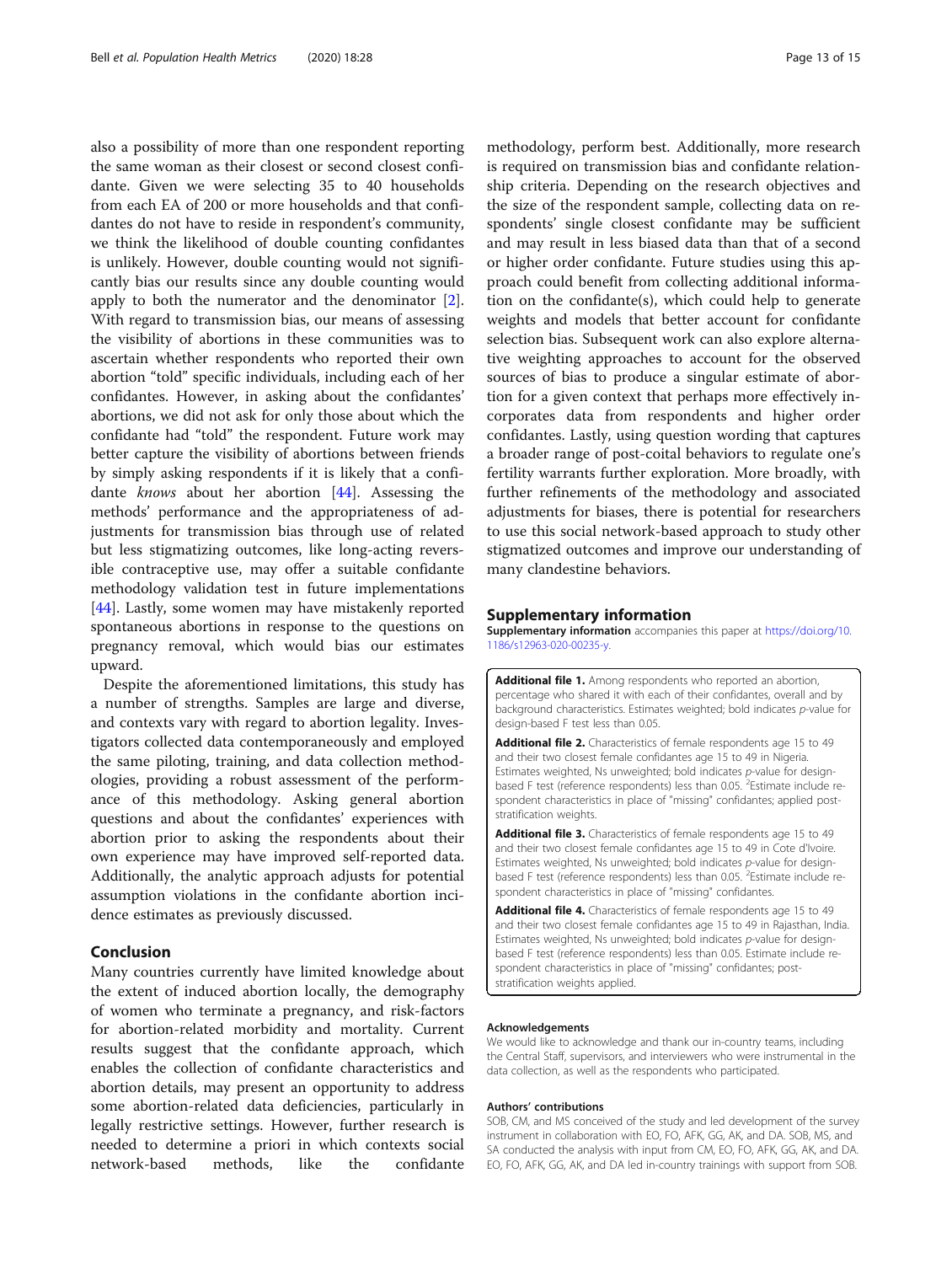<span id="page-12-0"></span>also a possibility of more than one respondent reporting the same woman as their closest or second closest confidante. Given we were selecting 35 to 40 households from each EA of 200 or more households and that confidantes do not have to reside in respondent's community, we think the likelihood of double counting confidantes is unlikely. However, double counting would not significantly bias our results since any double counting would apply to both the numerator and the denominator [\[2](#page-13-0)]. With regard to transmission bias, our means of assessing the visibility of abortions in these communities was to ascertain whether respondents who reported their own abortion "told" specific individuals, including each of her confidantes. However, in asking about the confidantes' abortions, we did not ask for only those about which the confidante had "told" the respondent. Future work may better capture the visibility of abortions between friends by simply asking respondents if it is likely that a confidante knows about her abortion [\[44](#page-14-0)]. Assessing the methods' performance and the appropriateness of adjustments for transmission bias through use of related but less stigmatizing outcomes, like long-acting reversible contraceptive use, may offer a suitable confidante methodology validation test in future implementations [[44\]](#page-14-0). Lastly, some women may have mistakenly reported spontaneous abortions in response to the questions on pregnancy removal, which would bias our estimates upward.

Despite the aforementioned limitations, this study has a number of strengths. Samples are large and diverse, and contexts vary with regard to abortion legality. Investigators collected data contemporaneously and employed the same piloting, training, and data collection methodologies, providing a robust assessment of the performance of this methodology. Asking general abortion questions and about the confidantes' experiences with abortion prior to asking the respondents about their own experience may have improved self-reported data. Additionally, the analytic approach adjusts for potential assumption violations in the confidante abortion incidence estimates as previously discussed.

## Conclusion

Many countries currently have limited knowledge about the extent of induced abortion locally, the demography of women who terminate a pregnancy, and risk-factors for abortion-related morbidity and mortality. Current results suggest that the confidante approach, which enables the collection of confidante characteristics and abortion details, may present an opportunity to address some abortion-related data deficiencies, particularly in legally restrictive settings. However, further research is needed to determine a priori in which contexts social network-based methods, like the confidante

methodology, perform best. Additionally, more research is required on transmission bias and confidante relationship criteria. Depending on the research objectives and the size of the respondent sample, collecting data on respondents' single closest confidante may be sufficient and may result in less biased data than that of a second or higher order confidante. Future studies using this approach could benefit from collecting additional information on the confidante(s), which could help to generate weights and models that better account for confidante selection bias. Subsequent work can also explore alternative weighting approaches to account for the observed sources of bias to produce a singular estimate of abortion for a given context that perhaps more effectively incorporates data from respondents and higher order confidantes. Lastly, using question wording that captures a broader range of post-coital behaviors to regulate one's fertility warrants further exploration. More broadly, with further refinements of the methodology and associated adjustments for biases, there is potential for researchers to use this social network-based approach to study other stigmatized outcomes and improve our understanding of many clandestine behaviors.

## Supplementary information

Supplementary information accompanies this paper at [https://doi.org/10.](https://doi.org/10.1186/s12963-020-00235-y) [1186/s12963-020-00235-y](https://doi.org/10.1186/s12963-020-00235-y).

Additional file 1. Among respondents who reported an abortion percentage who shared it with each of their confidantes, overall and by background characteristics. Estimates weighted; bold indicates p-value for design-based F test less than 0.05.

Additional file 2. Characteristics of female respondents age 15 to 49 and their two closest female confidantes age 15 to 49 in Nigeria. Estimates weighted, Ns unweighted; bold indicates p-value for designbased F test (reference respondents) less than 0.05. <sup>2</sup> Estimate include respondent characteristics in place of "missing" confidantes; applied poststratification weights.

Additional file 3. Characteristics of female respondents age 15 to 49 and their two closest female confidantes age 15 to 49 in Cote d'Ivoire. Estimates weighted, Ns unweighted; bold indicates p-value for designbased F test (reference respondents) less than 0.05. <sup>2</sup> Estimate include respondent characteristics in place of "missing" confidantes.

Additional file 4. Characteristics of female respondents age 15 to 49 and their two closest female confidantes age 15 to 49 in Rajasthan, India. Estimates weighted, Ns unweighted; bold indicates p-value for designbased F test (reference respondents) less than 0.05. Estimate include respondent characteristics in place of "missing" confidantes; poststratification weights applied.

## Acknowledgements

We would like to acknowledge and thank our in-country teams, including the Central Staff, supervisors, and interviewers who were instrumental in the data collection, as well as the respondents who participated.

## Authors' contributions

SOB, CM, and MS conceived of the study and led development of the survey instrument in collaboration with EO, FO, AFK, GG, AK, and DA. SOB, MS, and SA conducted the analysis with input from CM, EO, FO, AFK, GG, AK, and DA. EO, FO, AFK, GG, AK, and DA led in-country trainings with support from SOB.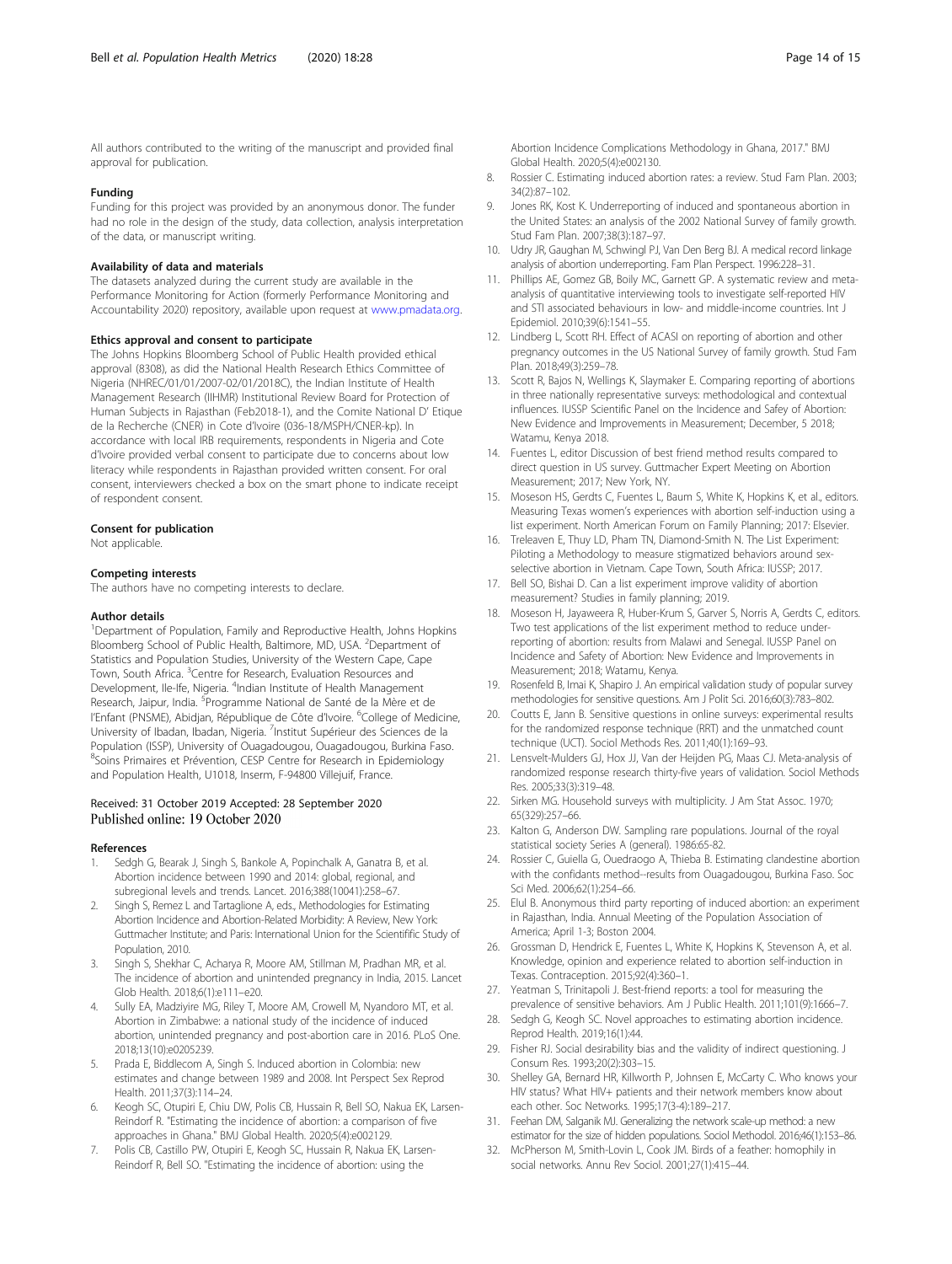<span id="page-13-0"></span>All authors contributed to the writing of the manuscript and provided final approval for publication.

## Funding

Funding for this project was provided by an anonymous donor. The funder had no role in the design of the study, data collection, analysis interpretation of the data, or manuscript writing.

## Availability of data and materials

The datasets analyzed during the current study are available in the Performance Monitoring for Action (formerly Performance Monitoring and Accountability 2020) repository, available upon request at [www.pmadata.org.](http://www.pmadata.org)

## Ethics approval and consent to participate

The Johns Hopkins Bloomberg School of Public Health provided ethical approval (8308), as did the National Health Research Ethics Committee of Nigeria (NHREC/01/01/2007-02/01/2018C), the Indian Institute of Health Management Research (IIHMR) Institutional Review Board for Protection of Human Subjects in Rajasthan (Feb2018-1), and the Comite National D' Etique de la Recherche (CNER) in Cote d'Ivoire (036-18/MSPH/CNER-kp). In accordance with local IRB requirements, respondents in Nigeria and Cote d'Ivoire provided verbal consent to participate due to concerns about low literacy while respondents in Rajasthan provided written consent. For oral consent, interviewers checked a box on the smart phone to indicate receipt of respondent consent.

## Consent for publication

Not applicable.

## Competing interests

The authors have no competing interests to declare.

#### Author details

<sup>1</sup>Department of Population, Family and Reproductive Health, Johns Hopkins Bloomberg School of Public Health, Baltimore, MD, USA. <sup>2</sup>Department of Statistics and Population Studies, University of the Western Cape, Cape Town, South Africa. <sup>3</sup>Centre for Research, Evaluation Resources and Development, Ile-Ife, Nigeria. <sup>4</sup>Indian Institute of Health Management Research, Jaipur, India. <sup>5</sup>Programme National de Santé de la Mère et de l'Enfant (PNSME), Abidjan, République de Côte d'Ivoire. <sup>6</sup>College of Medicine, University of Ibadan, Ibadan, Nigeria. <sup>7</sup>Institut Supérieur des Sciences de la Population (ISSP), University of Ouagadougou, Ouagadougou, Burkina Faso. <sup>8</sup>Soins Primaires et Prévention, CESP Centre for Research in Epidemiology and Population Health, U1018, Inserm, F-94800 Villejuif, France.

# Received: 31 October 2019 Accepted: 28 September 2020<br>Published online: 19 October 2020

## References

- 1. Sedgh G, Bearak J, Singh S, Bankole A, Popinchalk A, Ganatra B, et al. Abortion incidence between 1990 and 2014: global, regional, and subregional levels and trends. Lancet. 2016;388(10041):258–67.
- 2. Singh S, Remez L and Tartaglione A, eds., Methodologies for Estimating Abortion Incidence and Abortion-Related Morbidity: A Review, New York: Guttmacher Institute; and Paris: International Union for the Scientifific Study of Population, 2010.
- 3. Singh S, Shekhar C, Acharya R, Moore AM, Stillman M, Pradhan MR, et al. The incidence of abortion and unintended pregnancy in India, 2015. Lancet Glob Health. 2018;6(1):e111–e20.
- 4. Sully EA, Madziyire MG, Riley T, Moore AM, Crowell M, Nyandoro MT, et al. Abortion in Zimbabwe: a national study of the incidence of induced abortion, unintended pregnancy and post-abortion care in 2016. PLoS One. 2018;13(10):e0205239.
- 5. Prada E, Biddlecom A, Singh S. Induced abortion in Colombia: new estimates and change between 1989 and 2008. Int Perspect Sex Reprod Health. 2011;37(3):114–24.
- Keogh SC, Otupiri E, Chiu DW, Polis CB, Hussain R, Bell SO, Nakua EK, Larsen-Reindorf R. "Estimating the incidence of abortion: a comparison of five approaches in Ghana." BMJ Global Health. 2020;5(4):e002129.
- 7. Polis CB, Castillo PW, Otupiri E, Keogh SC, Hussain R, Nakua EK, Larsen-Reindorf R, Bell SO. "Estimating the incidence of abortion: using the

Abortion Incidence Complications Methodology in Ghana, 2017." BMJ Global Health. 2020;5(4):e002130.

- 8. Rossier C. Estimating induced abortion rates: a review. Stud Fam Plan. 2003; 34(2):87–102.
- 9. Jones RK, Kost K. Underreporting of induced and spontaneous abortion in the United States: an analysis of the 2002 National Survey of family growth. Stud Fam Plan. 2007;38(3):187–97.
- 10. Udry JR, Gaughan M, Schwingl PJ, Van Den Berg BJ. A medical record linkage analysis of abortion underreporting. Fam Plan Perspect. 1996:228–31.
- 11. Phillips AE, Gomez GB, Boily MC, Garnett GP. A systematic review and metaanalysis of quantitative interviewing tools to investigate self-reported HIV and STI associated behaviours in low- and middle-income countries. Int J Epidemiol. 2010;39(6):1541–55.
- 12. Lindberg L, Scott RH. Effect of ACASI on reporting of abortion and other pregnancy outcomes in the US National Survey of family growth. Stud Fam Plan. 2018;49(3):259–78.
- 13. Scott R, Bajos N, Wellings K, Slaymaker E. Comparing reporting of abortions in three nationally representative surveys: methodological and contextual influences. IUSSP Scientific Panel on the Incidence and Safey of Abortion: New Evidence and Improvements in Measurement; December, 5 2018; Watamu, Kenya 2018.
- 14. Fuentes L, editor Discussion of best friend method results compared to direct question in US survey. Guttmacher Expert Meeting on Abortion Measurement; 2017; New York, NY.
- 15. Moseson HS, Gerdts C, Fuentes L, Baum S, White K, Hopkins K, et al., editors. Measuring Texas women's experiences with abortion self-induction using a list experiment. North American Forum on Family Planning; 2017: Elsevier.
- 16. Treleaven E, Thuy LD, Pham TN, Diamond-Smith N. The List Experiment: Piloting a Methodology to measure stigmatized behaviors around sexselective abortion in Vietnam. Cape Town, South Africa: IUSSP; 2017.
- 17. Bell SO, Bishai D. Can a list experiment improve validity of abortion measurement? Studies in family planning; 2019.
- 18. Moseson H, Jayaweera R, Huber-Krum S, Garver S, Norris A, Gerdts C, editors. Two test applications of the list experiment method to reduce underreporting of abortion: results from Malawi and Senegal. IUSSP Panel on Incidence and Safety of Abortion: New Evidence and Improvements in Measurement; 2018; Watamu, Kenya.
- 19. Rosenfeld B, Imai K, Shapiro J. An empirical validation study of popular survey methodologies for sensitive questions. Am J Polit Sci. 2016;60(3):783–802.
- 20. Coutts E, Jann B. Sensitive questions in online surveys: experimental results for the randomized response technique (RRT) and the unmatched count technique (UCT). Sociol Methods Res. 2011;40(1):169–93.
- 21. Lensvelt-Mulders GJ, Hox JJ, Van der Heijden PG, Maas CJ. Meta-analysis of randomized response research thirty-five years of validation. Sociol Methods Res. 2005;33(3):319–48.
- 22. Sirken MG. Household surveys with multiplicity. J Am Stat Assoc. 1970; 65(329):257–66.
- 23. Kalton G, Anderson DW. Sampling rare populations. Journal of the royal statistical society Series A (general). 1986:65-82.
- 24. Rossier C, Guiella G, Ouedraogo A, Thieba B. Estimating clandestine abortion with the confidants method--results from Ouagadougou, Burkina Faso. Soc Sci Med. 2006;62(1):254–66.
- 25. Elul B. Anonymous third party reporting of induced abortion: an experiment in Rajasthan, India. Annual Meeting of the Population Association of America; April 1-3; Boston 2004.
- 26. Grossman D, Hendrick E, Fuentes L, White K, Hopkins K, Stevenson A, et al. Knowledge, opinion and experience related to abortion self-induction in Texas. Contraception. 2015;92(4):360–1.
- 27. Yeatman S, Trinitapoli J. Best-friend reports: a tool for measuring the prevalence of sensitive behaviors. Am J Public Health. 2011;101(9):1666–7.
- Sedgh G, Keogh SC. Novel approaches to estimating abortion incidence. Reprod Health. 2019;16(1):44.
- 29. Fisher RJ. Social desirability bias and the validity of indirect questioning. J Consum Res. 1993;20(2):303–15.
- 30. Shelley GA, Bernard HR, Killworth P, Johnsen E, McCarty C. Who knows your HIV status? What HIV+ patients and their network members know about each other. Soc Networks. 1995;17(3-4):189–217.
- 31. Feehan DM, Salganik MJ. Generalizing the network scale-up method: a new estimator for the size of hidden populations. Sociol Methodol. 2016;46(1):153–86.
- 32. McPherson M, Smith-Lovin L, Cook JM. Birds of a feather: homophily in social networks. Annu Rev Sociol. 2001;27(1):415–44.